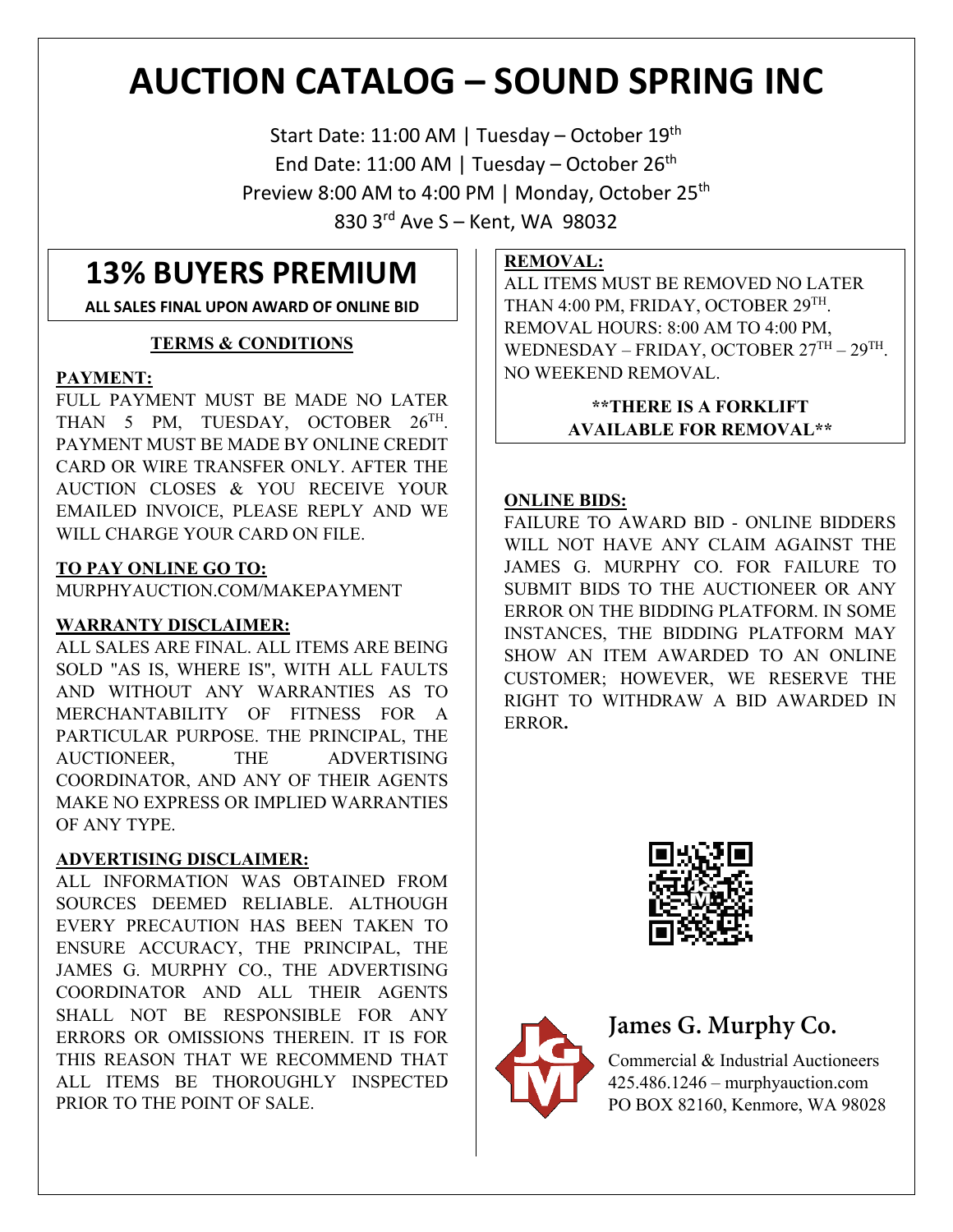# **AUCTION CATALOG – SOUND SPRING INC**

Start Date: 11:00 AM | Tuesday – October 19th End Date: 11:00 AM | Tuesday – October 26<sup>th</sup> Preview 8:00 AM to 4:00 PM | Monday, October 25<sup>th</sup> 830 3rd Ave S – Kent, WA 98032

# **13% BUYERS PREMIUM**

**ALL SALES FINAL UPON AWARD OF ONLINE BID**

#### **TERMS & CONDITIONS**

#### **PAYMENT:**

FULL PAYMENT MUST BE MADE NO LATER THAN 5 PM, TUESDAY, OCTOBER 26TH. PAYMENT MUST BE MADE BY ONLINE CREDIT CARD OR WIRE TRANSFER ONLY. AFTER THE AUCTION CLOSES & YOU RECEIVE YOUR EMAILED INVOICE, PLEASE REPLY AND WE WILL CHARGE YOUR CARD ON FILE.

#### **TO PAY ONLINE GO TO:**

MURPHYAUCTION.COM/MAKEPAYMENT

#### **WARRANTY DISCLAIMER:**

ALL SALES ARE FINAL. ALL ITEMS ARE BEING SOLD "AS IS, WHERE IS", WITH ALL FAULTS AND WITHOUT ANY WARRANTIES AS TO MERCHANTABILITY OF FITNESS FOR A PARTICULAR PURPOSE. THE PRINCIPAL, THE AUCTIONEER, THE ADVERTISING COORDINATOR, AND ANY OF THEIR AGENTS MAKE NO EXPRESS OR IMPLIED WARRANTIES OF ANY TYPE.

#### **ADVERTISING DISCLAIMER:**

ALL INFORMATION WAS OBTAINED FROM SOURCES DEEMED RELIABLE. ALTHOUGH EVERY PRECAUTION HAS BEEN TAKEN TO ENSURE ACCURACY, THE PRINCIPAL, THE JAMES G. MURPHY CO., THE ADVERTISING COORDINATOR AND ALL THEIR AGENTS SHALL NOT BE RESPONSIBLE FOR ANY ERRORS OR OMISSIONS THEREIN. IT IS FOR THIS REASON THAT WE RECOMMEND THAT ALL ITEMS BE THOROUGHLY INSPECTED PRIOR TO THE POINT OF SALE.

#### **REMOVAL:**

ALL ITEMS MUST BE REMOVED NO LATER THAN 4:00 PM, FRIDAY, OCTOBER 29TH. REMOVAL HOURS: 8:00 AM TO 4:00 PM, WEDNESDAY – FRIDAY, OCTOBER  $27<sup>TH</sup> - 29<sup>TH</sup>$ . NO WEEKEND REMOVAL.

#### **\*\*THERE IS A FORKLIFT AVAILABLE FOR REMOVAL\*\***

#### **ONLINE BIDS:**

FAILURE TO AWARD BID - ONLINE BIDDERS WILL NOT HAVE ANY CLAIM AGAINST THE JAMES G. MURPHY CO. FOR FAILURE TO SUBMIT BIDS TO THE AUCTIONEER OR ANY ERROR ON THE BIDDING PLATFORM. IN SOME INSTANCES, THE BIDDING PLATFORM MAY SHOW AN ITEM AWARDED TO AN ONLINE CUSTOMER; HOWEVER, WE RESERVE THE RIGHT TO WITHDRAW A BID AWARDED IN ERROR**.**





# **James G. Murphy Co.**

Commercial & Industrial Auctioneers 425.486.1246 – murphyauction.com PO BOX 82160, Kenmore, WA 98028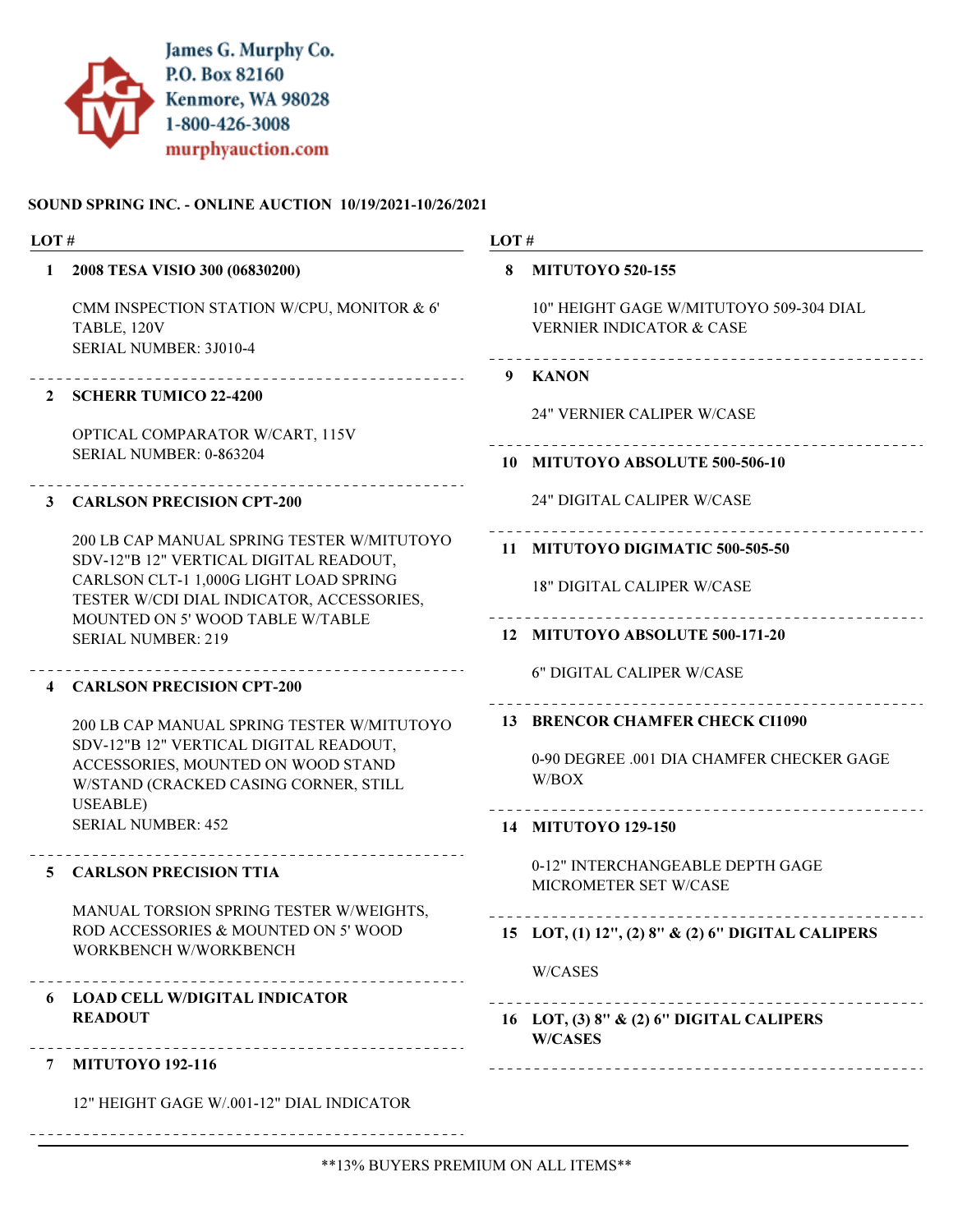

#### SOUND SPRING INC. - ONLINE AUCTION 10/19/2021-10/26/2021

| LOT#                    |                                                                                                                                                                     | LOT# |                                                                                       |  |
|-------------------------|---------------------------------------------------------------------------------------------------------------------------------------------------------------------|------|---------------------------------------------------------------------------------------|--|
| 1                       | 2008 TESA VISIO 300 (06830200)                                                                                                                                      | 8    | <b>MITUTOYO 520-155</b>                                                               |  |
|                         | CMM INSPECTION STATION W/CPU, MONITOR & 6'<br>TABLE, 120V<br>SERIAL NUMBER: 3J010-4                                                                                 |      | 10" HEIGHT GAGE W/MITUTOYO 509-304 DIAL<br><b>VERNIER INDICATOR &amp; CASE</b>        |  |
| 2                       | ____________________________<br><b>SCHERR TUMICO 22-4200</b><br>OPTICAL COMPARATOR W/CART, 115V                                                                     |      | 9 KANON<br><b>24" VERNIER CALIPER W/CASE</b>                                          |  |
|                         | SERIAL NUMBER: 0-863204                                                                                                                                             |      | 10 MITUTOYO ABSOLUTE 500-506-10                                                       |  |
| 3                       | <b>CARLSON PRECISION CPT-200</b>                                                                                                                                    |      | 24" DIGITAL CALIPER W/CASE                                                            |  |
|                         | 200 LB CAP MANUAL SPRING TESTER W/MITUTOYO<br>SDV-12"B 12" VERTICAL DIGITAL READOUT,                                                                                |      | 11 MITUTOYO DIGIMATIC 500-505-50                                                      |  |
|                         | CARLSON CLT-1 1,000G LIGHT LOAD SPRING<br>TESTER W/CDI DIAL INDICATOR, ACCESSORIES,<br>MOUNTED ON 5' WOOD TABLE W/TABLE                                             |      | <b>18" DIGITAL CALIPER W/CASE</b>                                                     |  |
|                         | <b>SERIAL NUMBER: 219</b>                                                                                                                                           |      | 12 MITUTOYO ABSOLUTE 500-171-20                                                       |  |
| $\overline{\mathbf{4}}$ | <b>CARLSON PRECISION CPT-200</b>                                                                                                                                    |      | <b>6" DIGITAL CALIPER W/CASE</b>                                                      |  |
|                         | 200 LB CAP MANUAL SPRING TESTER W/MITUTOYO<br>SDV-12"B 12" VERTICAL DIGITAL READOUT,<br>ACCESSORIES, MOUNTED ON WOOD STAND<br>W/STAND (CRACKED CASING CORNER, STILL |      | 13 BRENCOR CHAMFER CHECK CI1090<br>0-90 DEGREE .001 DIA CHAMFER CHECKER GAGE<br>W/BOX |  |
|                         | USEABLE)<br><b>SERIAL NUMBER: 452</b>                                                                                                                               |      | 14 MITUTOYO 129-150                                                                   |  |
| 5.                      | <b>CARLSON PRECISION TTIA</b>                                                                                                                                       |      | 0-12" INTERCHANGEABLE DEPTH GAGE<br>MICROMETER SET W/CASE                             |  |
|                         | MANUAL TORSION SPRING TESTER W/WEIGHTS,<br>ROD ACCESSORIES & MOUNTED ON 5' WOOD<br>WORKBENCH W/WORKBENCH                                                            |      | 15 LOT, (1) 12", (2) 8" & (2) 6" DIGITAL CALIPERS                                     |  |
|                         |                                                                                                                                                                     |      | W/CASES                                                                               |  |
|                         | 6 LOAD CELL W/DIGITAL INDICATOR<br><b>READOUT</b>                                                                                                                   |      | 16 LOT, (3) 8" & (2) 6" DIGITAL CALIPERS<br><b>W/CASES</b>                            |  |
|                         | 7 MITUTOYO 192-116                                                                                                                                                  |      |                                                                                       |  |
|                         | 12" HEIGHT GAGE W/.001-12" DIAL INDICATOR                                                                                                                           |      |                                                                                       |  |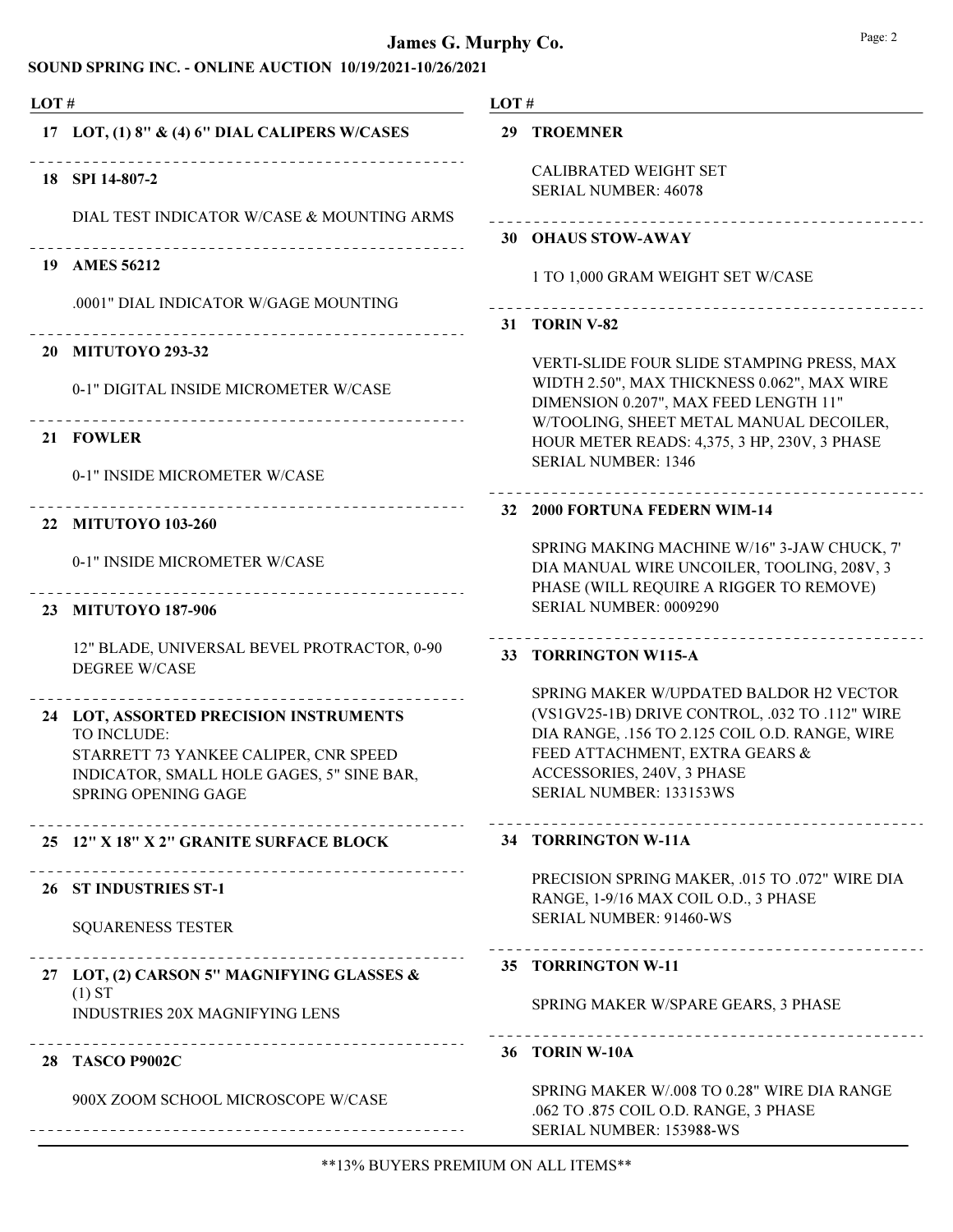| LOT# |                                                                                                                                                                                                       |    | LOT#                                                                                                                                                                                                                                   |  |  |
|------|-------------------------------------------------------------------------------------------------------------------------------------------------------------------------------------------------------|----|----------------------------------------------------------------------------------------------------------------------------------------------------------------------------------------------------------------------------------------|--|--|
|      | 17 LOT, (1) 8" & (4) 6" DIAL CALIPERS W/CASES                                                                                                                                                         |    | <b>29 TROEMNER</b>                                                                                                                                                                                                                     |  |  |
|      | 18 SPI 14-807-2                                                                                                                                                                                       |    | <b>CALIBRATED WEIGHT SET</b><br>SERIAL NUMBER: 46078                                                                                                                                                                                   |  |  |
|      | DIAL TEST INDICATOR W/CASE & MOUNTING ARMS<br>-------------------------------                                                                                                                         |    | __________________________<br>30 OHAUS STOW-AWAY                                                                                                                                                                                       |  |  |
| 19   | <b>AMES 56212</b>                                                                                                                                                                                     |    | 1 TO 1,000 GRAM WEIGHT SET W/CASE                                                                                                                                                                                                      |  |  |
|      | .0001" DIAL INDICATOR W/GAGE MOUNTING                                                                                                                                                                 | 31 | <b>TORIN V-82</b>                                                                                                                                                                                                                      |  |  |
|      | _____________________________<br>20 MITUTOYO 293-32                                                                                                                                                   |    | VERTI-SLIDE FOUR SLIDE STAMPING PRESS, MAX                                                                                                                                                                                             |  |  |
|      | 0-1" DIGITAL INSIDE MICROMETER W/CASE<br>-------------------------------------                                                                                                                        |    | WIDTH 2.50", MAX THICKNESS 0.062", MAX WIRE<br>DIMENSION 0.207", MAX FEED LENGTH 11"<br>W/TOOLING, SHEET METAL MANUAL DECOILER,                                                                                                        |  |  |
|      | 21 FOWLER                                                                                                                                                                                             |    | HOUR METER READS: 4,375, 3 HP, 230V, 3 PHASE                                                                                                                                                                                           |  |  |
|      | 0-1" INSIDE MICROMETER W/CASE                                                                                                                                                                         |    | <b>SERIAL NUMBER: 1346</b><br>.                                                                                                                                                                                                        |  |  |
|      | ----------------------------<br>22 MITUTOYO 103-260                                                                                                                                                   |    | 32 2000 FORTUNA FEDERN WIM-14                                                                                                                                                                                                          |  |  |
|      | 0-1" INSIDE MICROMETER W/CASE                                                                                                                                                                         |    | SPRING MAKING MACHINE W/16" 3-JAW CHUCK, 7'<br>DIA MANUAL WIRE UNCOILER, TOOLING, 208V, 3<br>PHASE (WILL REQUIRE A RIGGER TO REMOVE)                                                                                                   |  |  |
|      | 23 MITUTOYO 187-906                                                                                                                                                                                   |    | SERIAL NUMBER: 0009290                                                                                                                                                                                                                 |  |  |
|      | 12" BLADE, UNIVERSAL BEVEL PROTRACTOR, 0-90<br><b>DEGREE W/CASE</b>                                                                                                                                   |    | 33 TORRINGTON W115-A                                                                                                                                                                                                                   |  |  |
|      | _______________________________<br>24 LOT, ASSORTED PRECISION INSTRUMENTS<br>TO INCLUDE:<br>STARRETT 73 YANKEE CALIPER, CNR SPEED<br>INDICATOR, SMALL HOLE GAGES, 5" SINE BAR,<br>SPRING OPENING GAGE |    | SPRING MAKER W/UPDATED BALDOR H2 VECTOR<br>(VS1GV25-1B) DRIVE CONTROL, .032 TO .112" WIRE<br>DIA RANGE, .156 TO 2.125 COIL O.D. RANGE, WIRE<br>FEED ATTACHMENT, EXTRA GEARS &<br>ACCESSORIES, 240V, 3 PHASE<br>SERIAL NUMBER: 133153WS |  |  |
|      | 25 12" X 18" X 2" GRANITE SURFACE BLOCK                                                                                                                                                               |    | 34 TORRINGTON W-11A                                                                                                                                                                                                                    |  |  |
|      | 26 ST INDUSTRIES ST-1                                                                                                                                                                                 |    | PRECISION SPRING MAKER, .015 TO .072" WIRE DIA<br>RANGE, 1-9/16 MAX COIL O.D., 3 PHASE                                                                                                                                                 |  |  |
|      | <b>SQUARENESS TESTER</b>                                                                                                                                                                              |    | SERIAL NUMBER: 91460-WS                                                                                                                                                                                                                |  |  |
|      | 27 LOT, (2) CARSON 5" MAGNIFYING GLASSES &                                                                                                                                                            |    | 35 TORRINGTON W-11                                                                                                                                                                                                                     |  |  |
|      | (1) ST<br>INDUSTRIES 20X MAGNIFYING LENS                                                                                                                                                              |    | SPRING MAKER W/SPARE GEARS, 3 PHASE                                                                                                                                                                                                    |  |  |
|      | ---------------------------------<br>28 TASCO P9002C                                                                                                                                                  |    | ____________________________________<br>36 TORIN W-10A                                                                                                                                                                                 |  |  |
|      | 900X ZOOM SCHOOL MICROSCOPE W/CASE<br>------------------------------                                                                                                                                  |    | SPRING MAKER W/.008 TO 0.28" WIRE DIA RANGE<br>.062 TO .875 COIL O.D. RANGE, 3 PHASE<br>SERIAL NUMBER: 153988-WS                                                                                                                       |  |  |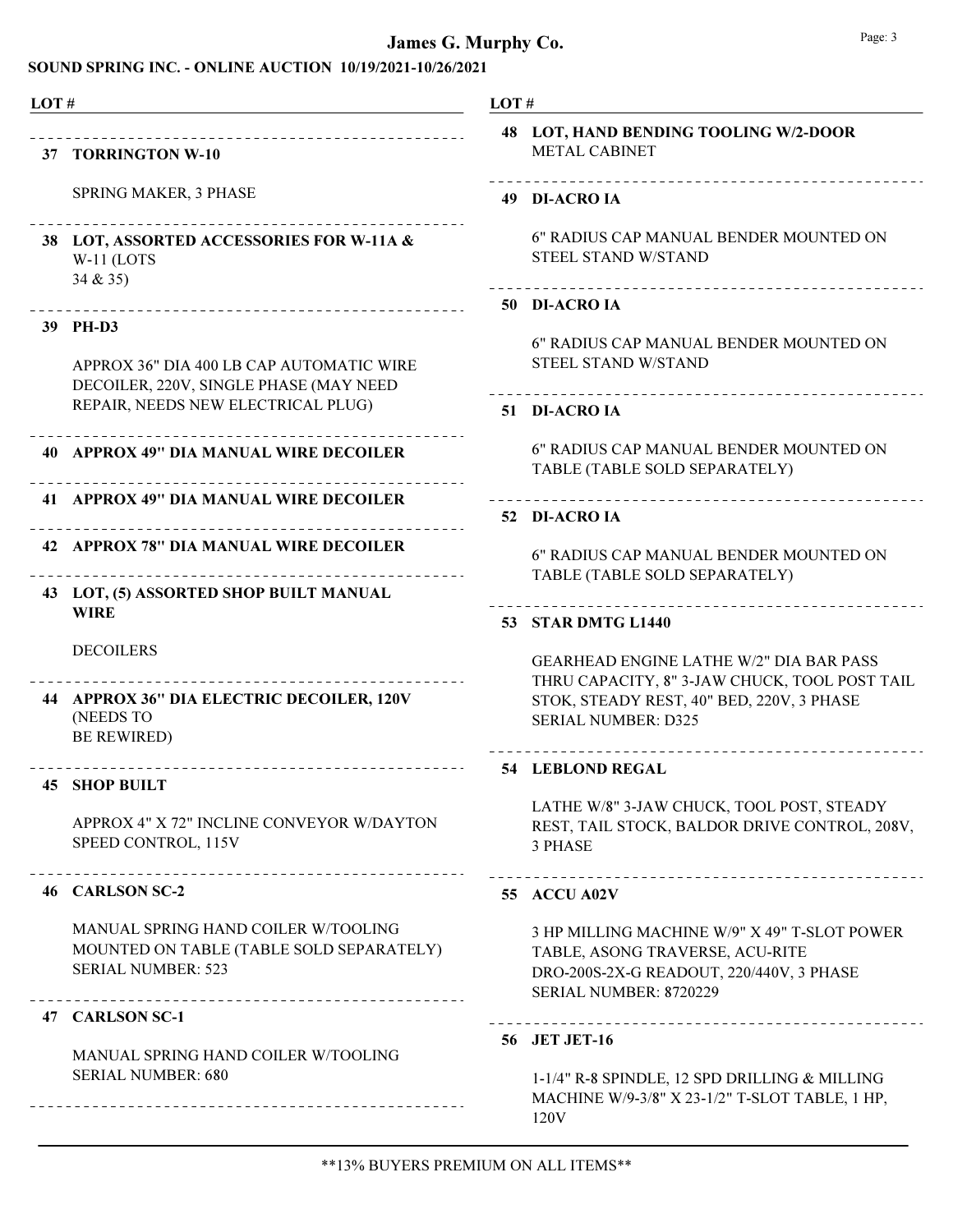#### SOUND SPRING INC. - ONLINE AUCTION 10/19/2021-10/26/2021

|    | 37 TORRINGTON W-10                                                                                                       |
|----|--------------------------------------------------------------------------------------------------------------------------|
|    | <b>SPRING MAKER, 3 PHASE</b>                                                                                             |
|    | 38 LOT, ASSORTED ACCESSORIES FOR W-11A &<br>W-11 (LOTS<br>34 & 35)                                                       |
|    | 39 PH-D3                                                                                                                 |
|    | APPROX 36" DIA 400 LB CAP AUTOMATIC WIRE<br>DECOILER, 220V, SINGLE PHASE (MAY NEED<br>REPAIR, NEEDS NEW ELECTRICAL PLUG) |
|    | 40 APPROX 49" DIA MANUAL WIRE DECOILER                                                                                   |
|    | 41 APPROX 49" DIA MANUAL WIRE DECOILER                                                                                   |
|    | 42 APPROX 78" DIA MANUAL WIRE DECOILER                                                                                   |
| 43 | LOT, (5) ASSORTED SHOP BUILT MANUAL<br><b>WIRE</b>                                                                       |
|    | <b>DECOILERS</b>                                                                                                         |
|    | 44 APPROX 36" DIA ELECTRIC DECOILER, 120V<br>(NEEDS TO<br><b>BE REWIRED)</b>                                             |
|    | 45 SHOP BUILT                                                                                                            |
|    | APPROX 4" X 72" INCLINE CONVEYOR W/DAYTON<br>SPEED CONTROL, 115V                                                         |
|    | --------------------------<br>46 CARLSON SC-2                                                                            |
|    | <b>MANUAL SPRING HAND COILER W/TOOLING</b><br>MOUNTED ON TABLE (TABLE SOLD SEPARATELY)<br><b>SERIAL NUMBER: 523</b>      |
|    | ---------------------<br>47 CARLSON SC-1                                                                                 |
|    |                                                                                                                          |

# LOT #

| 48 LOT, HAND BENDING TOOLING W/2-DOOR |  |
|---------------------------------------|--|
| <b>METAL CABINET</b>                  |  |

#### 49 DI-ACRO IA

6" RADIUS CAP MANUAL BENDER MOUNTED ON STEEL STAND W/STAND

#### 50 DI-ACRO IA

6" RADIUS CAP MANUAL BENDER MOUNTED ON STEEL STAND W/STAND

#### 51 DI-ACRO IA

6" RADIUS CAP MANUAL BENDER MOUNTED ON TABLE (TABLE SOLD SEPARATELY)

#### 52 DI-ACRO IA

6" RADIUS CAP MANUAL BENDER MOUNTED ON TABLE (TABLE SOLD SEPARATELY)

#### 53 STAR DMTG L1440

GEARHEAD ENGINE LATHE W/2" DIA BAR PASS THRU CAPACITY, 8" 3-JAW CHUCK, TOOL POST TAIL STOK, STEADY REST, 40" BED, 220V, 3 PHASE SERIAL NUMBER: D325

#### 54 LEBLOND REGAL

LATHE W/8" 3-JAW CHUCK, TOOL POST, STEADY REST, TAIL STOCK, BALDOR DRIVE CONTROL, 208V, 3 PHASE

#### 55 ACCU A02V

3 HP MILLING MACHINE W/9" X 49" T-SLOT POWER TABLE, ASONG TRAVERSE, ACU-RITE DRO-200S-2X-G READOUT, 220/440V, 3 PHASE SERIAL NUMBER: 8720229

#### 56 JET JET-16

1-1/4" R-8 SPINDLE, 12 SPD DRILLING & MILLING MACHINE W/9-3/8" X 23-1/2" T-SLOT TABLE, 1 HP, 120V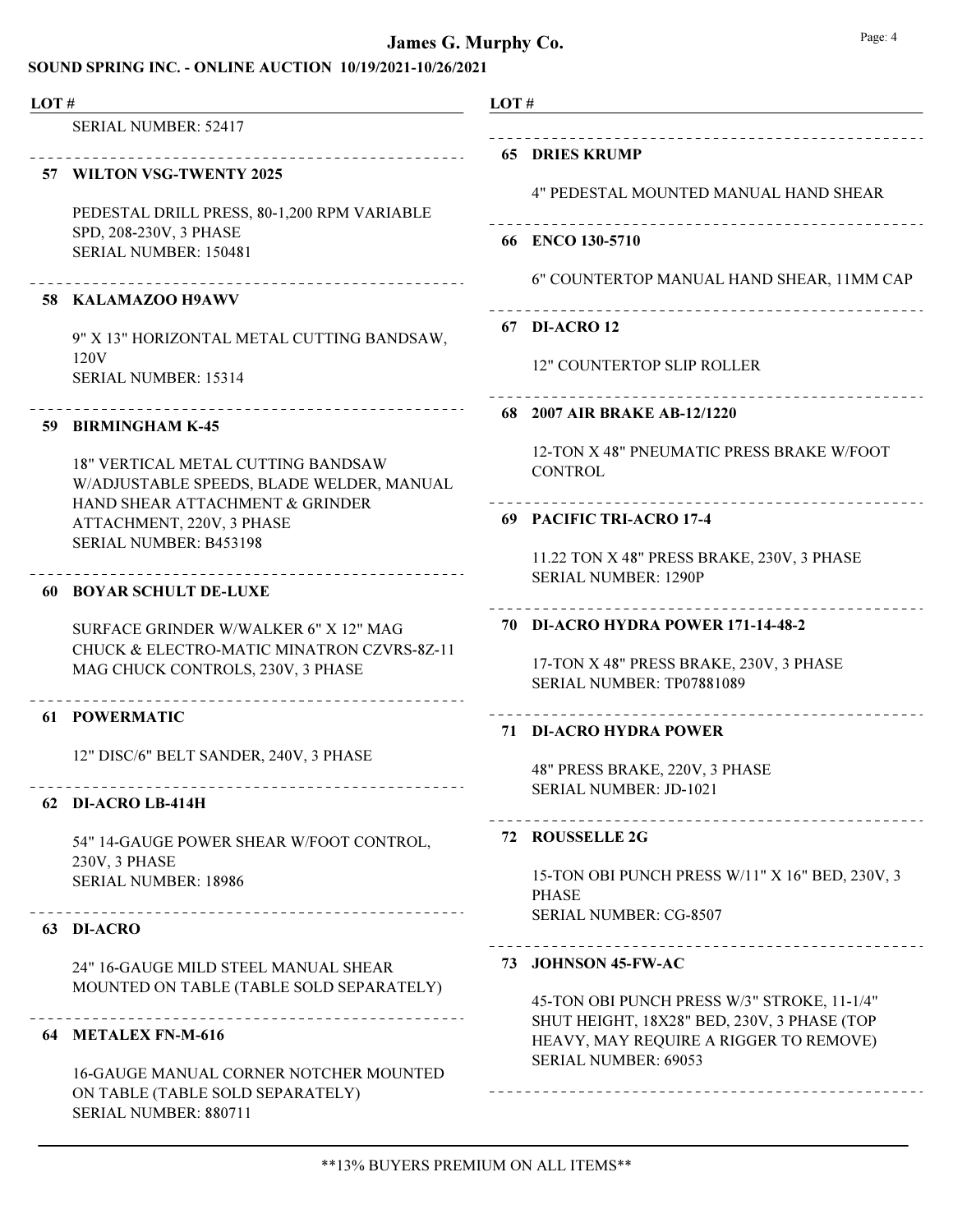| LOT# |                                                                                        | LOT# |                                                                                       |
|------|----------------------------------------------------------------------------------------|------|---------------------------------------------------------------------------------------|
|      | <b>SERIAL NUMBER: 52417</b>                                                            |      |                                                                                       |
|      | 57 WILTON VSG-TWENTY 2025                                                              |      | <b>65 DRIES KRUMP</b>                                                                 |
|      |                                                                                        |      | 4" PEDESTAL MOUNTED MANUAL HAND SHEAR                                                 |
|      | PEDESTAL DRILL PRESS, 80-1,200 RPM VARIABLE<br>SPD, 208-230V, 3 PHASE                  |      |                                                                                       |
|      | SERIAL NUMBER: 150481                                                                  |      | 66 ENCO 130-5710                                                                      |
|      | ___________________________                                                            |      | 6" COUNTERTOP MANUAL HAND SHEAR, 11MM CAP                                             |
|      | 58 KALAMAZOO H9AWV                                                                     |      | 67 DI-ACRO 12                                                                         |
|      | 9" X 13" HORIZONTAL METAL CUTTING BANDSAW,<br>120V                                     |      |                                                                                       |
|      | <b>SERIAL NUMBER: 15314</b>                                                            |      | 12" COUNTERTOP SLIP ROLLER                                                            |
|      | 59 BIRMINGHAM K-45                                                                     |      | ____________________<br>68 2007 AIR BRAKE AB-12/1220                                  |
|      |                                                                                        |      | 12-TON X 48" PNEUMATIC PRESS BRAKE W/FOOT                                             |
|      | <b>18" VERTICAL METAL CUTTING BANDSAW</b><br>W/ADJUSTABLE SPEEDS, BLADE WELDER, MANUAL |      | <b>CONTROL</b>                                                                        |
|      | HAND SHEAR ATTACHMENT & GRINDER                                                        |      | 69 PACIFIC TRI-ACRO 17-4                                                              |
|      | ATTACHMENT, 220V, 3 PHASE<br>SERIAL NUMBER: B453198                                    |      |                                                                                       |
|      |                                                                                        |      | 11.22 TON X 48" PRESS BRAKE, 230V, 3 PHASE<br><b>SERIAL NUMBER: 1290P</b>             |
|      | <b>60 BOYAR SCHULT DE-LUXE</b>                                                         |      |                                                                                       |
|      | SURFACE GRINDER W/WALKER 6" X 12" MAG                                                  |      | 70 DI-ACRO HYDRA POWER 171-14-48-2                                                    |
|      | CHUCK & ELECTRO-MATIC MINATRON CZVRS-8Z-11<br>MAG CHUCK CONTROLS, 230V, 3 PHASE        |      | 17-TON X 48" PRESS BRAKE, 230V, 3 PHASE                                               |
|      | ______________________________                                                         |      | SERIAL NUMBER: TP07881089                                                             |
|      | 61 POWERMATIC                                                                          |      | 71 DI-ACRO HYDRA POWER                                                                |
|      | 12" DISC/6" BELT SANDER, 240V, 3 PHASE                                                 |      | 48" PRESS BRAKE, 220V, 3 PHASE                                                        |
|      |                                                                                        |      | <b>SERIAL NUMBER: JD-1021</b>                                                         |
|      | 62 DI-ACRO LB-414H                                                                     |      | ____________________________                                                          |
|      | 54" 14-GAUGE POWER SHEAR W/FOOT CONTROL,<br>230V, 3 PHASE                              |      | 72 ROUSSELLE 2G                                                                       |
|      | <b>SERIAL NUMBER: 18986</b>                                                            |      | 15-TON OBI PUNCH PRESS W/11" X 16" BED, 230V, 3                                       |
|      |                                                                                        |      | <b>PHASE</b><br><b>SERIAL NUMBER: CG-8507</b>                                         |
|      | 63 DI-ACRO                                                                             |      | __________________________                                                            |
|      | 24" 16-GAUGE MILD STEEL MANUAL SHEAR                                                   |      | 73 JOHNSON 45-FW-AC                                                                   |
|      | MOUNTED ON TABLE (TABLE SOLD SEPARATELY)                                               |      | 45-TON OBI PUNCH PRESS W/3" STROKE, 11-1/4"                                           |
|      | 64 METALEX FN-M-616                                                                    |      | SHUT HEIGHT, 18X28" BED, 230V, 3 PHASE (TOP<br>HEAVY, MAY REQUIRE A RIGGER TO REMOVE) |
|      | <b>16-GAUGE MANUAL CORNER NOTCHER MOUNTED</b>                                          |      | <b>SERIAL NUMBER: 69053</b>                                                           |
|      | ON TABLE (TABLE SOLD SEPARATELY)<br>SERIAL NUMBER: 880711                              |      |                                                                                       |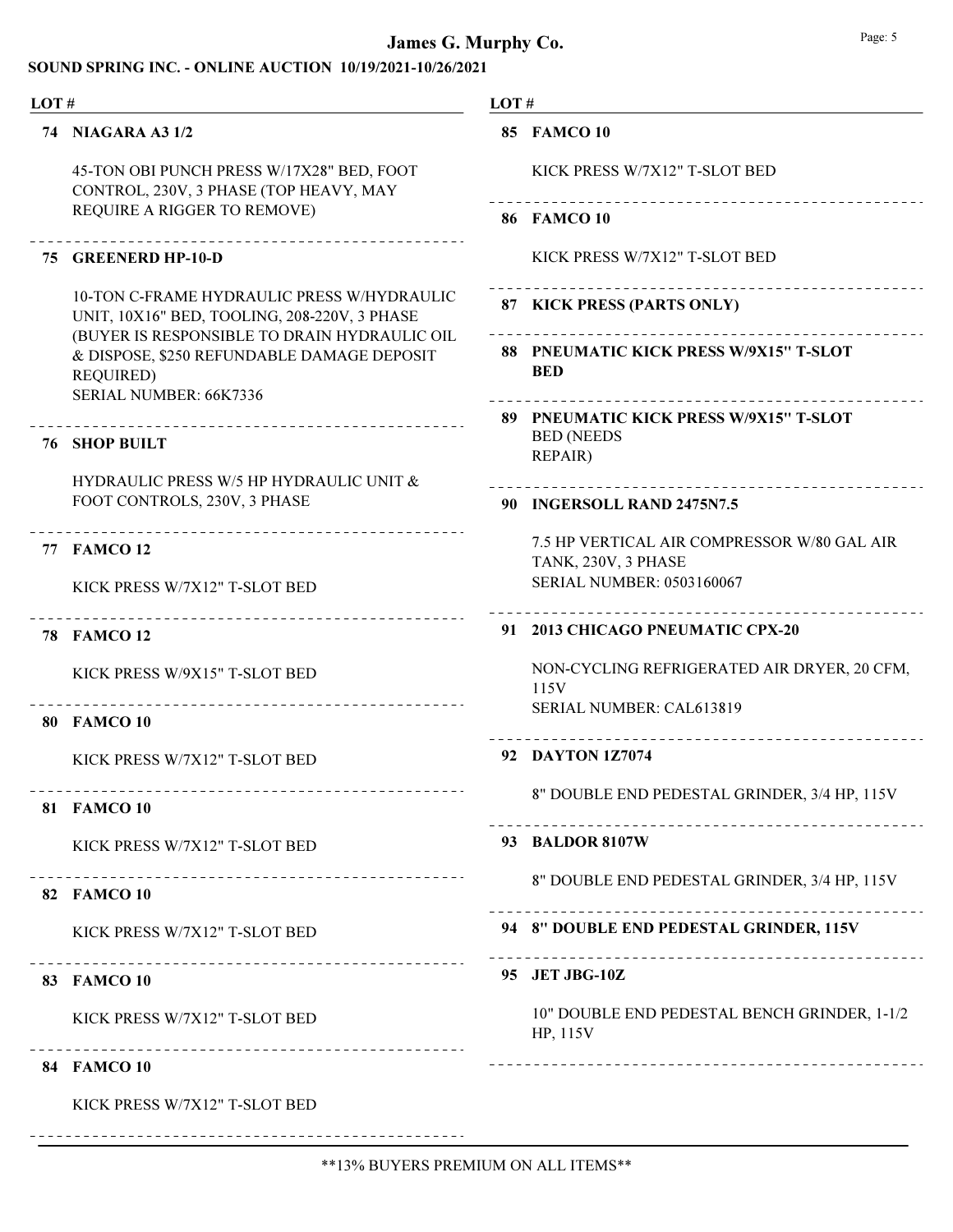#### SOUND SPRING INC. - ONLINE AUCTION 10/19/2021-10/26/2021

| LOT# |                                                                                                                                            | LOT# |                                                                 |  |
|------|--------------------------------------------------------------------------------------------------------------------------------------------|------|-----------------------------------------------------------------|--|
|      | 74 NIAGARA A3 1/2                                                                                                                          |      | <b>85 FAMCO 10</b>                                              |  |
|      | 45-TON OBI PUNCH PRESS W/17X28" BED, FOOT<br>CONTROL, 230V, 3 PHASE (TOP HEAVY, MAY                                                        |      | KICK PRESS W/7X12" T-SLOT BED<br>------------------------------ |  |
|      | REQUIRE A RIGGER TO REMOVE)                                                                                                                |      | <b>86 FAMCO 10</b>                                              |  |
|      | 75 GREENERD HP-10-D                                                                                                                        |      | KICK PRESS W/7X12" T-SLOT BED                                   |  |
|      | 10-TON C-FRAME HYDRAULIC PRESS W/HYDRAULIC<br>UNIT, 10X16" BED, TOOLING, 208-220V, 3 PHASE<br>(BUYER IS RESPONSIBLE TO DRAIN HYDRAULIC OIL |      | 87 KICK PRESS (PARTS ONLY)                                      |  |
|      | & DISPOSE, \$250 REFUNDABLE DAMAGE DEPOSIT<br><b>REQUIRED)</b>                                                                             |      | 88 PNEUMATIC KICK PRESS W/9X15" T-SLOT<br><b>BED</b>            |  |
|      | SERIAL NUMBER: 66K7336                                                                                                                     |      | 89 PNEUMATIC KICK PRESS W/9X15" T-SLOT                          |  |
|      | <b>76 SHOP BUILT</b>                                                                                                                       |      | <b>BED (NEEDS</b><br>REPAIR)                                    |  |
|      | HYDRAULIC PRESS W/5 HP HYDRAULIC UNIT &<br>FOOT CONTROLS, 230V, 3 PHASE                                                                    |      | ---------------                                                 |  |
|      |                                                                                                                                            |      | 90 INGERSOLL RAND 2475N7.5                                      |  |
|      | 77 FAMCO 12                                                                                                                                |      | 7.5 HP VERTICAL AIR COMPRESSOR W/80 GAL AIR                     |  |
|      | KICK PRESS W/7X12" T-SLOT BED                                                                                                              |      | TANK, 230V, 3 PHASE<br>SERIAL NUMBER: 0503160067                |  |
| 78.  | <b>FAMCO 12</b>                                                                                                                            |      | 91 2013 CHICAGO PNEUMATIC CPX-20                                |  |
|      | KICK PRESS W/9X15" T-SLOT BED                                                                                                              |      | NON-CYCLING REFRIGERATED AIR DRYER, 20 CFM,<br>115V             |  |
|      | <b>80 FAMCO 10</b>                                                                                                                         |      | SERIAL NUMBER: CAL613819                                        |  |
|      | KICK PRESS W/7X12" T-SLOT BED                                                                                                              |      | 92 DAYTON 1Z7074                                                |  |
|      | 81 FAMCO 10                                                                                                                                |      | 8" DOUBLE END PEDESTAL GRINDER, 3/4 HP, 115V                    |  |
|      | KICK PRESS W/7X12" T-SLOT BED                                                                                                              |      | 93 BALDOR 8107W                                                 |  |
|      | 82 FAMCO 10                                                                                                                                |      | 8" DOUBLE END PEDESTAL GRINDER, 3/4 HP, 115V                    |  |
|      | KICK PRESS W/7X12" T-SLOT BED                                                                                                              |      | 94 8" DOUBLE END PEDESTAL GRINDER, 115V                         |  |
|      | -------------------------------<br>83 FAMCO 10                                                                                             |      | 95 JET JBG-10Z                                                  |  |
|      | KICK PRESS W/7X12" T-SLOT BED<br>----------------------------                                                                              |      | 10" DOUBLE END PEDESTAL BENCH GRINDER, 1-1/2<br>HP, 115V        |  |
|      | <b>84 FAMCO 10</b>                                                                                                                         |      |                                                                 |  |
|      | KICK PRESS W/7X12" T-SLOT BED                                                                                                              |      |                                                                 |  |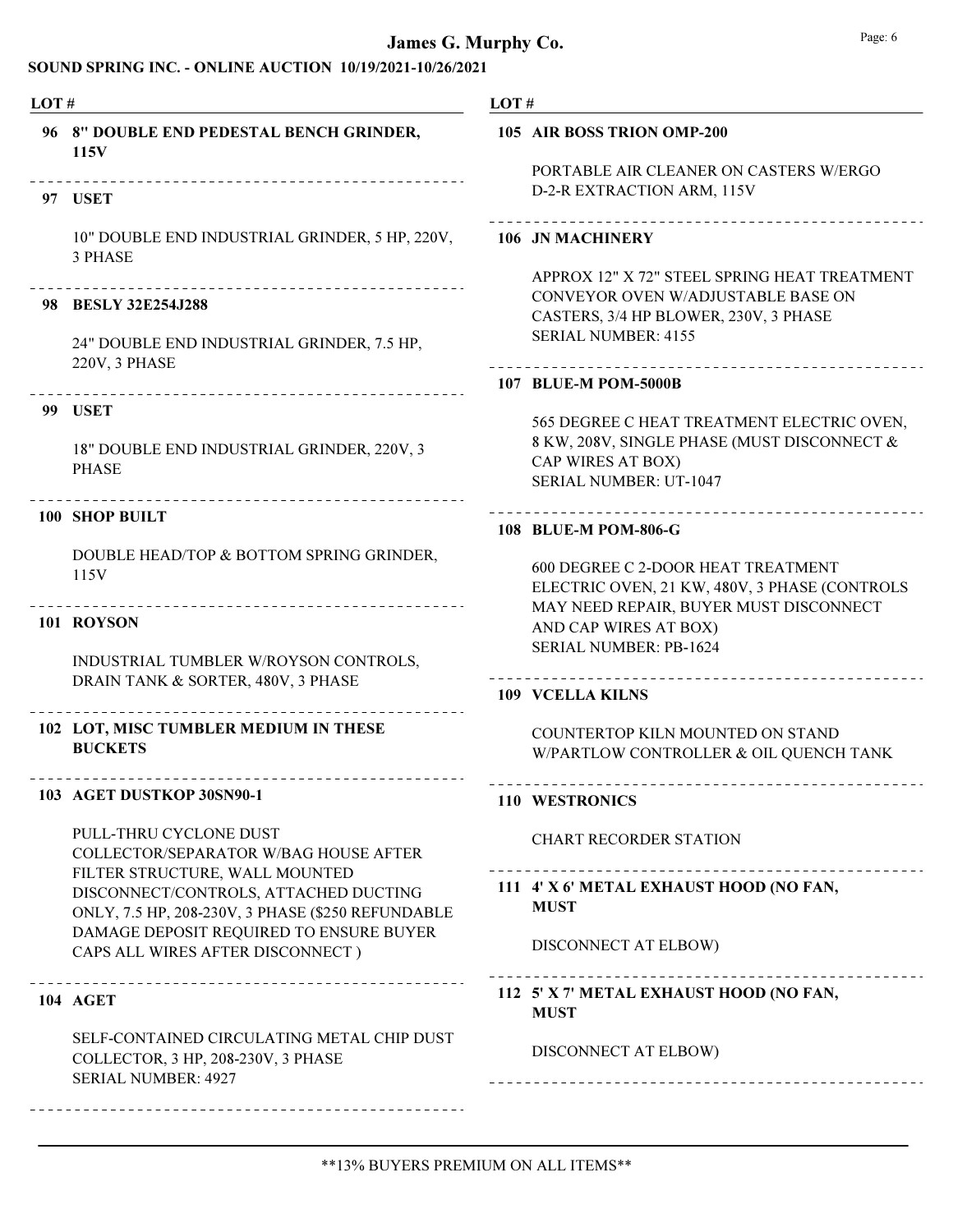| LOT# |                                                                                                                              | LOT#                                                                                             |                                                                                                                                                           |
|------|------------------------------------------------------------------------------------------------------------------------------|--------------------------------------------------------------------------------------------------|-----------------------------------------------------------------------------------------------------------------------------------------------------------|
|      | 96 8" DOUBLE END PEDESTAL BENCH GRINDER,<br>115V                                                                             |                                                                                                  | 105 AIR BOSS TRION OMP-200<br>PORTABLE AIR CLEANER ON CASTERS W/ERGO                                                                                      |
|      | 97 USET                                                                                                                      |                                                                                                  | D-2-R EXTRACTION ARM, 115V                                                                                                                                |
|      | 10" DOUBLE END INDUSTRIAL GRINDER, 5 HP, 220V,<br>3 PHASE                                                                    |                                                                                                  | 106 JN MACHINERY                                                                                                                                          |
|      | 98 BESLY 32E254.J288<br>24" DOUBLE END INDUSTRIAL GRINDER, 7.5 HP,                                                           |                                                                                                  | APPROX 12" X 72" STEEL SPRING HEAT TREATMENT<br>CONVEYOR OVEN W/ADJUSTABLE BASE ON<br>CASTERS, 3/4 HP BLOWER, 230V, 3 PHASE<br><b>SERIAL NUMBER: 4155</b> |
|      | 220V, 3 PHASE<br>_____________________________                                                                               |                                                                                                  | <b>107 BLUE-M POM-5000B</b>                                                                                                                               |
|      | <b>99 USET</b><br>18" DOUBLE END INDUSTRIAL GRINDER, 220V, 3<br><b>PHASE</b><br>.                                            |                                                                                                  | 565 DEGREE C HEAT TREATMENT ELECTRIC OVEN,<br>8 KW, 208V, SINGLE PHASE (MUST DISCONNECT &<br>CAP WIRES AT BOX)<br><b>SERIAL NUMBER: UT-1047</b>           |
|      | <b>100 SHOP BUILT</b>                                                                                                        |                                                                                                  | 108 BLUE-M POM-806-G                                                                                                                                      |
|      | DOUBLE HEAD/TOP & BOTTOM SPRING GRINDER,<br>115V                                                                             |                                                                                                  | 600 DEGREE C 2-DOOR HEAT TREATMENT<br>ELECTRIC OVEN, 21 KW, 480V, 3 PHASE (CONTROLS                                                                       |
|      | 101 ROYSON                                                                                                                   | MAY NEED REPAIR, BUYER MUST DISCONNECT<br>AND CAP WIRES AT BOX)<br><b>SERIAL NUMBER: PB-1624</b> |                                                                                                                                                           |
|      | INDUSTRIAL TUMBLER W/ROYSON CONTROLS,<br>DRAIN TANK & SORTER, 480V, 3 PHASE                                                  |                                                                                                  | <b>109 VCELLA KILNS</b>                                                                                                                                   |
|      | 102 LOT, MISC TUMBLER MEDIUM IN THESE<br><b>BUCKETS</b>                                                                      |                                                                                                  | COUNTERTOP KILN MOUNTED ON STAND<br>W/PARTLOW CONTROLLER & OIL QUENCH TANK                                                                                |
|      | 103 AGET DUSTKOP 30SN90-1                                                                                                    |                                                                                                  | 110 WESTRONICS                                                                                                                                            |
|      | PULL-THRU CYCLONE DUST<br>COLLECTOR/SEPARATOR W/BAG HOUSE AFTER                                                              |                                                                                                  | <b>CHART RECORDER STATION</b>                                                                                                                             |
|      | FILTER STRUCTURE, WALL MOUNTED<br>DISCONNECT/CONTROLS, ATTACHED DUCTING<br>ONLY, 7.5 HP, 208-230V, 3 PHASE (\$250 REFUNDABLE |                                                                                                  | 111 4' X 6' METAL EXHAUST HOOD (NO FAN,<br><b>MUST</b>                                                                                                    |
|      | DAMAGE DEPOSIT REQUIRED TO ENSURE BUYER<br>CAPS ALL WIRES AFTER DISCONNECT)                                                  |                                                                                                  | DISCONNECT AT ELBOW)<br>-------------------                                                                                                               |
|      | --------------------------------<br><b>104 AGET</b>                                                                          |                                                                                                  | 112 5' X 7' METAL EXHAUST HOOD (NO FAN,<br><b>MUST</b>                                                                                                    |
|      | SELF-CONTAINED CIRCULATING METAL CHIP DUST<br>COLLECTOR, 3 HP, 208-230V, 3 PHASE<br><b>SERIAL NUMBER: 4927</b>               |                                                                                                  | DISCONNECT AT ELBOW)                                                                                                                                      |
|      |                                                                                                                              |                                                                                                  |                                                                                                                                                           |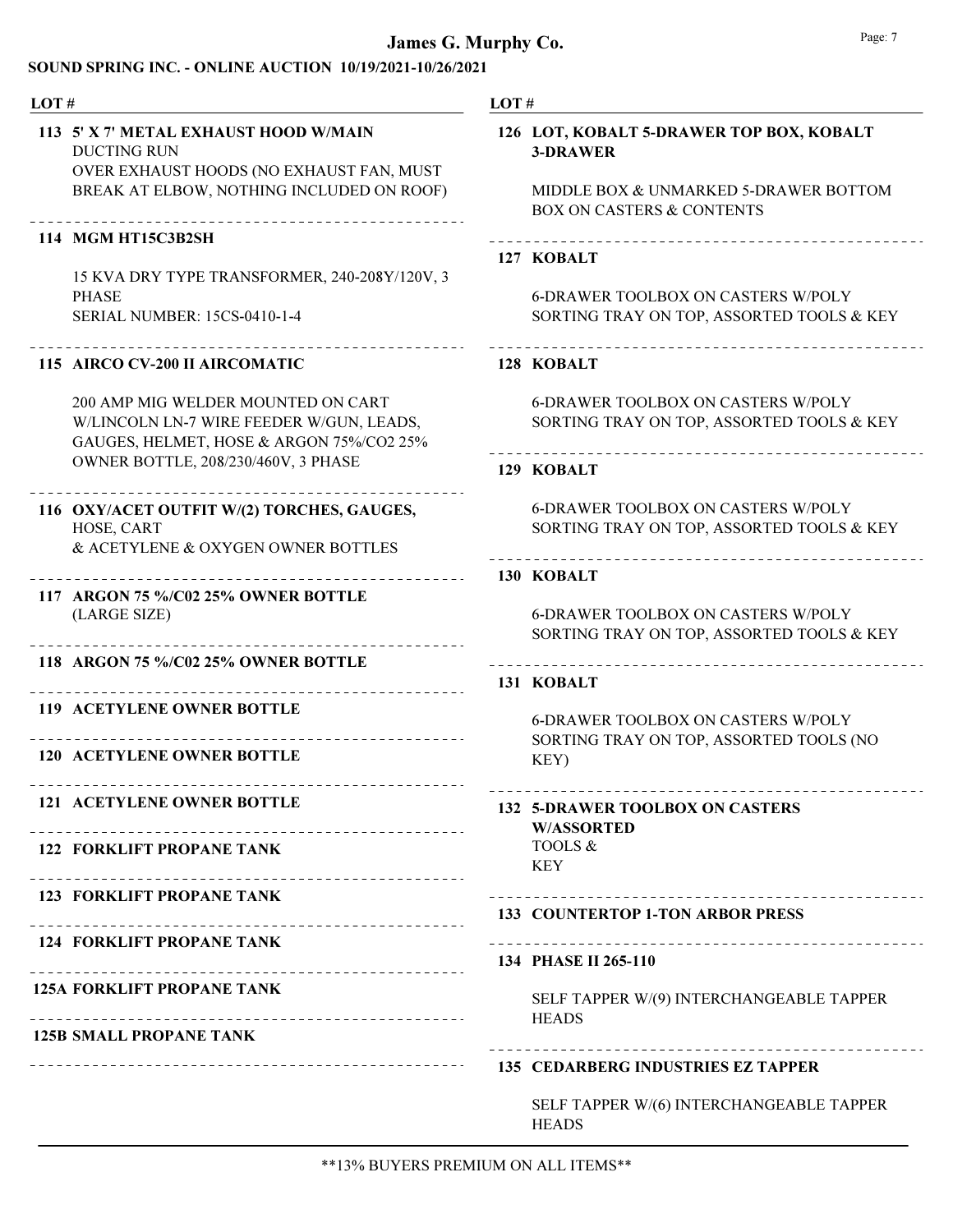## James G. Murphy Co. **Page: 7** Page: 7

| LOT#                                                                                                                                                                                                                        | LOT#                                                                                                                                                       |
|-----------------------------------------------------------------------------------------------------------------------------------------------------------------------------------------------------------------------------|------------------------------------------------------------------------------------------------------------------------------------------------------------|
| 113 5' X 7' METAL EXHAUST HOOD W/MAIN<br><b>DUCTING RUN</b><br>OVER EXHAUST HOODS (NO EXHAUST FAN, MUST<br>BREAK AT ELBOW, NOTHING INCLUDED ON ROOF)<br>114 MGM HT15C3B2SH<br>15 KVA DRY TYPE TRANSFORMER, 240-208Y/120V, 3 | 126 LOT, KOBALT 5-DRAWER TOP BOX, KOBALT<br><b>3-DRAWER</b><br>MIDDLE BOX & UNMARKED 5-DRAWER BOTTOM<br><b>BOX ON CASTERS &amp; CONTENTS</b><br>127 KOBALT |
| <b>PHASE</b><br>SERIAL NUMBER: 15CS-0410-1-4                                                                                                                                                                                | <b>6-DRAWER TOOLBOX ON CASTERS W/POLY</b><br>SORTING TRAY ON TOP, ASSORTED TOOLS & KEY                                                                     |
| 115 AIRCO CV-200 II AIRCOMATIC                                                                                                                                                                                              | 128 KOBALT                                                                                                                                                 |
| 200 AMP MIG WELDER MOUNTED ON CART<br>W/LINCOLN LN-7 WIRE FEEDER W/GUN, LEADS,<br>GAUGES, HELMET, HOSE & ARGON 75%/CO2 25%                                                                                                  | <b>6-DRAWER TOOLBOX ON CASTERS W/POLY</b><br>SORTING TRAY ON TOP, ASSORTED TOOLS & KEY                                                                     |
| OWNER BOTTLE, 208/230/460V, 3 PHASE                                                                                                                                                                                         | ----------------------------<br>129 KOBALT                                                                                                                 |
| 116 OXY/ACET OUTFIT W/(2) TORCHES, GAUGES,<br>HOSE, CART<br>& ACETYLENE & OXYGEN OWNER BOTTLES                                                                                                                              | <b>6-DRAWER TOOLBOX ON CASTERS W/POLY</b><br>SORTING TRAY ON TOP, ASSORTED TOOLS & KEY                                                                     |
| ----------<br>117 ARGON 75 %/C02 25% OWNER BOTTLE<br>(LARGE SIZE)<br>_______________________________                                                                                                                        | 130 KOBALT<br><b>6-DRAWER TOOLBOX ON CASTERS W/POLY</b><br>SORTING TRAY ON TOP, ASSORTED TOOLS & KEY                                                       |
| 118 ARGON 75 %/C02 25% OWNER BOTTLE                                                                                                                                                                                         | 131 KOBALT                                                                                                                                                 |
| <b>119 ACETYLENE OWNER BOTTLE</b><br>120 ACETYLENE OWNER BOTTLE                                                                                                                                                             | <b>6-DRAWER TOOLBOX ON CASTERS W/POLY</b><br>SORTING TRAY ON TOP, ASSORTED TOOLS (NO<br>KEY)                                                               |
| <b>121 ACETYLENE OWNER BOTTLE</b>                                                                                                                                                                                           | 132 5-DRAWER TOOLBOX ON CASTERS<br><b>W/ASSORTED</b>                                                                                                       |
| <b>122 FORKLIFT PROPANE TANK</b>                                                                                                                                                                                            | TOOLS &<br><b>KEY</b>                                                                                                                                      |
| <b>123 FORKLIFT PROPANE TANK</b>                                                                                                                                                                                            | <b>133 COUNTERTOP 1-TON ARBOR PRESS</b>                                                                                                                    |
| <b>124 FORKLIFT PROPANE TANK</b>                                                                                                                                                                                            | 134 PHASE II 265-110                                                                                                                                       |
| <b>125A FORKLIFT PROPANE TANK</b><br><b>125B SMALL PROPANE TANK</b>                                                                                                                                                         | SELF TAPPER W/(9) INTERCHANGEABLE TAPPER<br><b>HEADS</b>                                                                                                   |
|                                                                                                                                                                                                                             | <b>135 CEDARBERG INDUSTRIES EZ TAPPER</b>                                                                                                                  |

SELF TAPPER W/(6) INTERCHANGEABLE TAPPER **HEADS**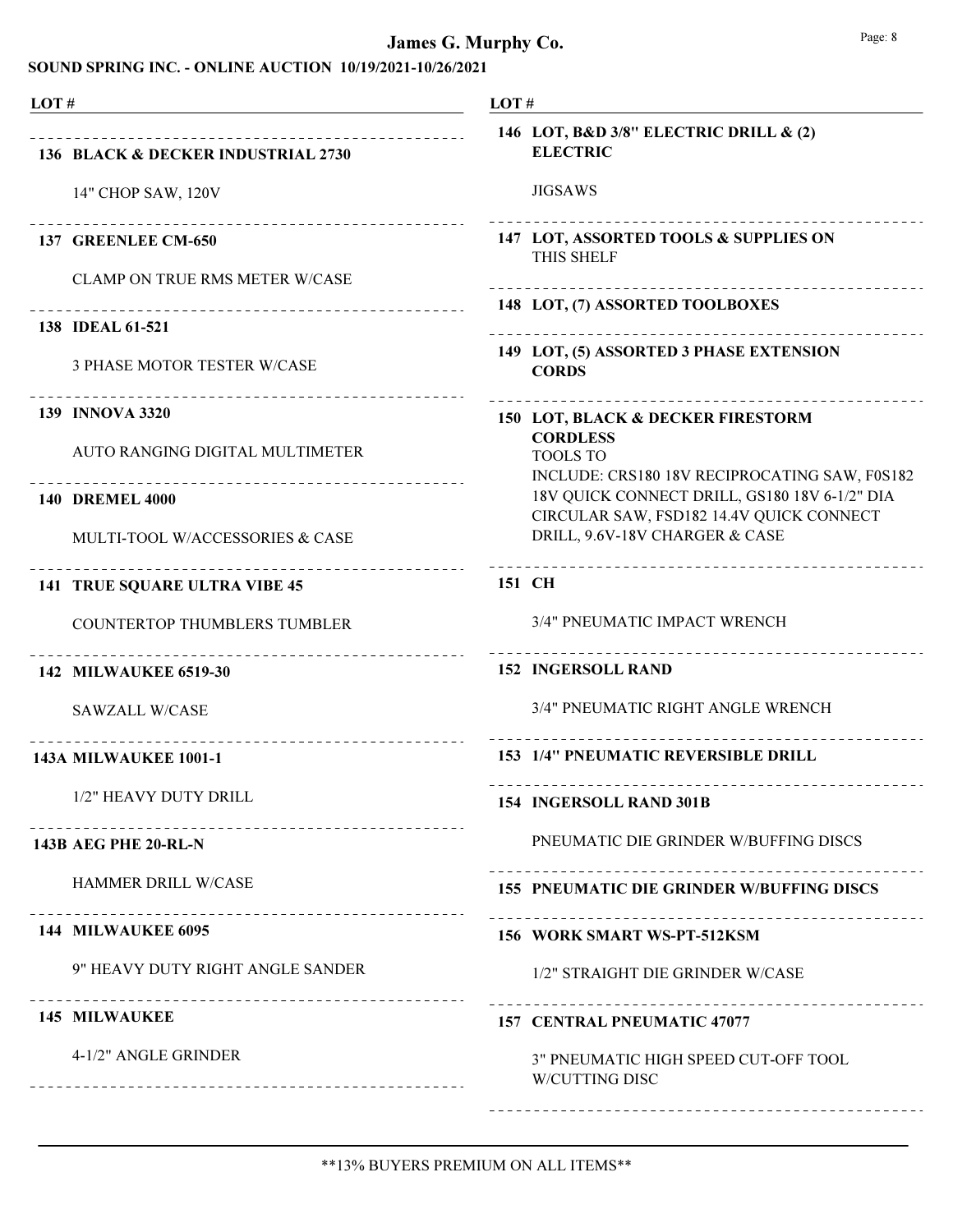| LOT#                                                          | LOT#                                                                                                                                       |
|---------------------------------------------------------------|--------------------------------------------------------------------------------------------------------------------------------------------|
| 136 BLACK & DECKER INDUSTRIAL 2730                            | 146 LOT, B&D 3/8" ELECTRIC DRILL & (2)<br><b>ELECTRIC</b>                                                                                  |
| 14" CHOP SAW, 120V                                            | <b>JIGSAWS</b>                                                                                                                             |
| 137 GREENLEE CM-650                                           | 147 LOT, ASSORTED TOOLS & SUPPLIES ON<br><b>THIS SHELF</b>                                                                                 |
| <b>CLAMP ON TRUE RMS METER W/CASE</b>                         | 148 LOT, (7) ASSORTED TOOLBOXES                                                                                                            |
| 138 <b>IDEAL 61-521</b>                                       |                                                                                                                                            |
| 3 PHASE MOTOR TESTER W/CASE                                   | 149 LOT, (5) ASSORTED 3 PHASE EXTENSION<br><b>CORDS</b>                                                                                    |
| 139 INNOVA 3320                                               | 150 LOT, BLACK & DECKER FIRESTORM                                                                                                          |
| AUTO RANGING DIGITAL MULTIMETER                               | <b>CORDLESS</b><br><b>TOOLS TO</b>                                                                                                         |
| <b>140 DREMEL 4000</b>                                        | INCLUDE: CRS180 18V RECIPROCATING SAW, F0S182<br>18V QUICK CONNECT DRILL, GS180 18V 6-1/2" DIA<br>CIRCULAR SAW, FSD182 14.4V QUICK CONNECT |
| MULTI-TOOL W/ACCESSORIES & CASE                               | DRILL, 9.6V-18V CHARGER & CASE                                                                                                             |
| <b>141 TRUE SQUARE ULTRA VIBE 45</b>                          | 151 CH                                                                                                                                     |
| <b>COUNTERTOP THUMBLERS TUMBLER</b>                           | 3/4" PNEUMATIC IMPACT WRENCH                                                                                                               |
| _____________________________<br><b>142 MILWAUKEE 6519-30</b> | <b>152 INGERSOLL RAND</b>                                                                                                                  |
| <b>SAWZALL W/CASE</b>                                         | 3/4" PNEUMATIC RIGHT ANGLE WRENCH                                                                                                          |
| <b>143A MILWAUKEE 1001-1</b>                                  | 153 1/4" PNEUMATIC REVERSIBLE DRILL                                                                                                        |
| 1/2" HEAVY DUTY DRILL                                         | 154 INGERSOLL RAND 301B                                                                                                                    |
| ------------------------<br><b>143B AEG PHE 20-RL-N</b>       | PNEUMATIC DIE GRINDER W/BUFFING DISCS                                                                                                      |
| HAMMER DRILL W/CASE                                           | <b>155 PNEUMATIC DIE GRINDER W/BUFFING DISCS</b>                                                                                           |
| 144 MILWAUKEE 6095                                            | 156 WORK SMART WS-PT-512KSM                                                                                                                |
| 9" HEAVY DUTY RIGHT ANGLE SANDER                              | 1/2" STRAIGHT DIE GRINDER W/CASE                                                                                                           |
| <b>145 MILWAUKEE</b>                                          | -----------------------<br><b>157 CENTRAL PNEUMATIC 47077</b>                                                                              |
| 4-1/2" ANGLE GRINDER                                          | 3" PNEUMATIC HIGH SPEED CUT-OFF TOOL<br><b>W/CUTTING DISC</b>                                                                              |
|                                                               |                                                                                                                                            |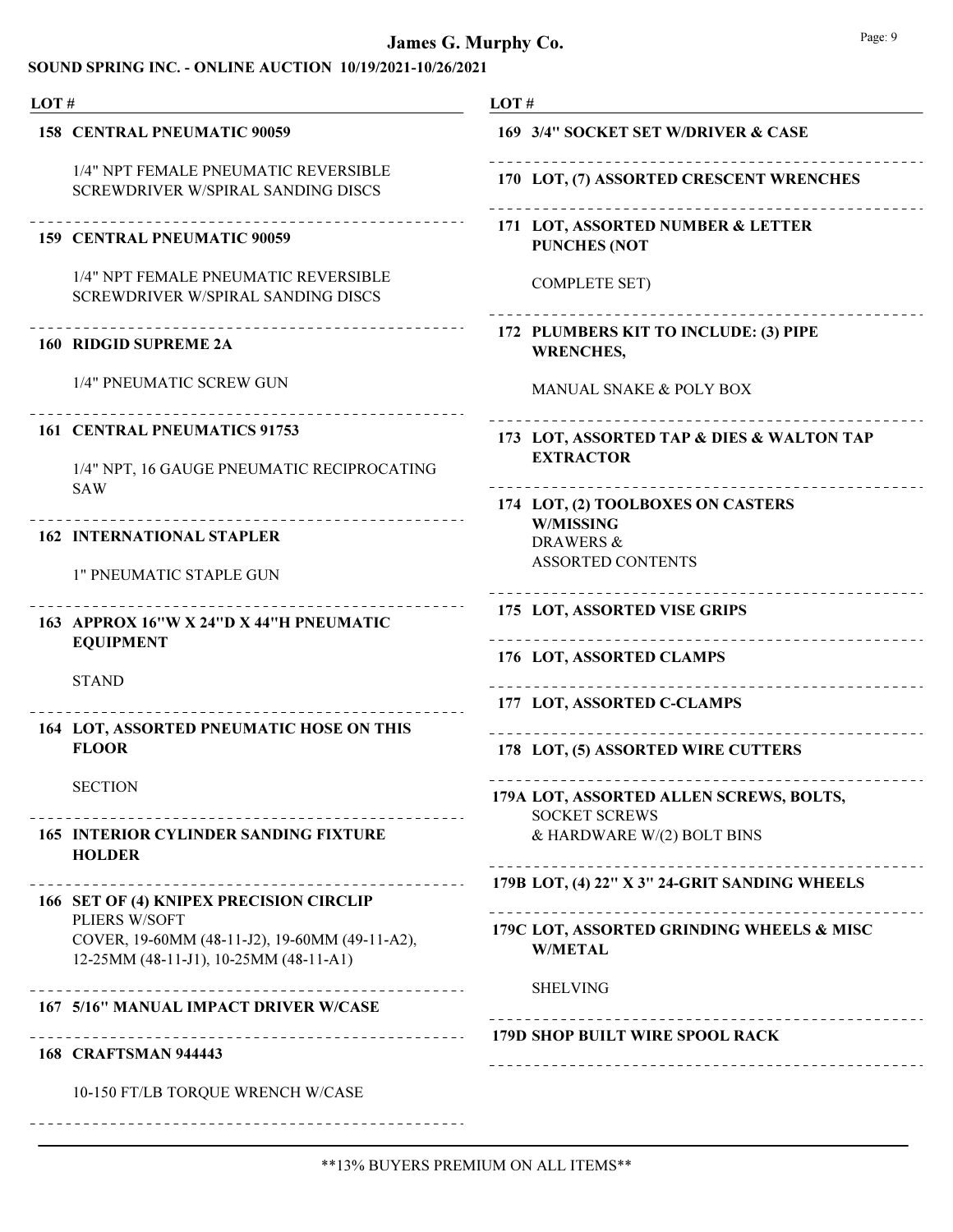| LOT# |                                                                                                           | LOT#                                                            |  |  |
|------|-----------------------------------------------------------------------------------------------------------|-----------------------------------------------------------------|--|--|
|      | <b>158 CENTRAL PNEUMATIC 90059</b>                                                                        | 169 3/4" SOCKET SET W/DRIVER & CASE                             |  |  |
|      | 1/4" NPT FEMALE PNEUMATIC REVERSIBLE<br><b>SCREWDRIVER W/SPIRAL SANDING DISCS</b>                         | 170 LOT, (7) ASSORTED CRESCENT WRENCHES                         |  |  |
|      | 159 CENTRAL PNEUMATIC 90059                                                                               | 171 LOT, ASSORTED NUMBER & LETTER<br><b>PUNCHES (NOT</b>        |  |  |
|      | 1/4" NPT FEMALE PNEUMATIC REVERSIBLE<br>SCREWDRIVER W/SPIRAL SANDING DISCS                                | <b>COMPLETE SET)</b>                                            |  |  |
|      | <b>160 RIDGID SUPREME 2A</b>                                                                              | 172 PLUMBERS KIT TO INCLUDE: (3) PIPE<br><b>WRENCHES,</b>       |  |  |
|      | 1/4" PNEUMATIC SCREW GUN                                                                                  | MANUAL SNAKE & POLY BOX                                         |  |  |
|      | 161 CENTRAL PNEUMATICS 91753<br>1/4" NPT, 16 GAUGE PNEUMATIC RECIPROCATING                                | 173 LOT, ASSORTED TAP & DIES & WALTON TAP<br><b>EXTRACTOR</b>   |  |  |
|      | <b>SAW</b><br><b>162 INTERNATIONAL STAPLER</b>                                                            | 174 LOT, (2) TOOLBOXES ON CASTERS<br><b>W/MISSING</b>           |  |  |
|      | 1" PNEUMATIC STAPLE GUN                                                                                   | <b>DRAWERS &amp;</b><br><b>ASSORTED CONTENTS</b>                |  |  |
|      | 163 APPROX 16"W X 24"D X 44"H PNEUMATIC<br><b>EQUIPMENT</b>                                               | 175 LOT, ASSORTED VISE GRIPS                                    |  |  |
|      | <b>STAND</b>                                                                                              | 176 LOT, ASSORTED CLAMPS                                        |  |  |
|      |                                                                                                           | ---------------------------------<br>177 LOT, ASSORTED C-CLAMPS |  |  |
|      | <b>164 LOT, ASSORTED PNEUMATIC HOSE ON THIS</b><br><b>FLOOR</b>                                           | 178 LOT, (5) ASSORTED WIRE CUTTERS                              |  |  |
|      | <b>SECTION</b>                                                                                            | 179A LOT, ASSORTED ALLEN SCREWS, BOLTS,<br><b>SOCKET SCREWS</b> |  |  |
|      | <b>165 INTERIOR CYLINDER SANDING FIXTURE</b><br><b>HOLDER</b>                                             | & HARDWARE W/(2) BOLT BINS                                      |  |  |
|      | -------------<br>166 SET OF (4) KNIPEX PRECISION CIRCLIP                                                  | 179B LOT, (4) 22" X 3" 24-GRIT SANDING WHEELS                   |  |  |
|      | PLIERS W/SOFT<br>COVER, 19-60MM (48-11-J2), 19-60MM (49-11-A2),<br>12-25MM (48-11-J1), 10-25MM (48-11-A1) | 179C LOT, ASSORTED GRINDING WHEELS & MISC<br><b>W/METAL</b>     |  |  |
|      | .<br>167 5/16" MANUAL IMPACT DRIVER W/CASE                                                                | <b>SHELVING</b>                                                 |  |  |
|      | <b>168 CRAFTSMAN 944443</b>                                                                               | <b>179D SHOP BUILT WIRE SPOOL RACK</b>                          |  |  |
|      | 10-150 FT/LB TORQUE WRENCH W/CASE                                                                         |                                                                 |  |  |
|      |                                                                                                           |                                                                 |  |  |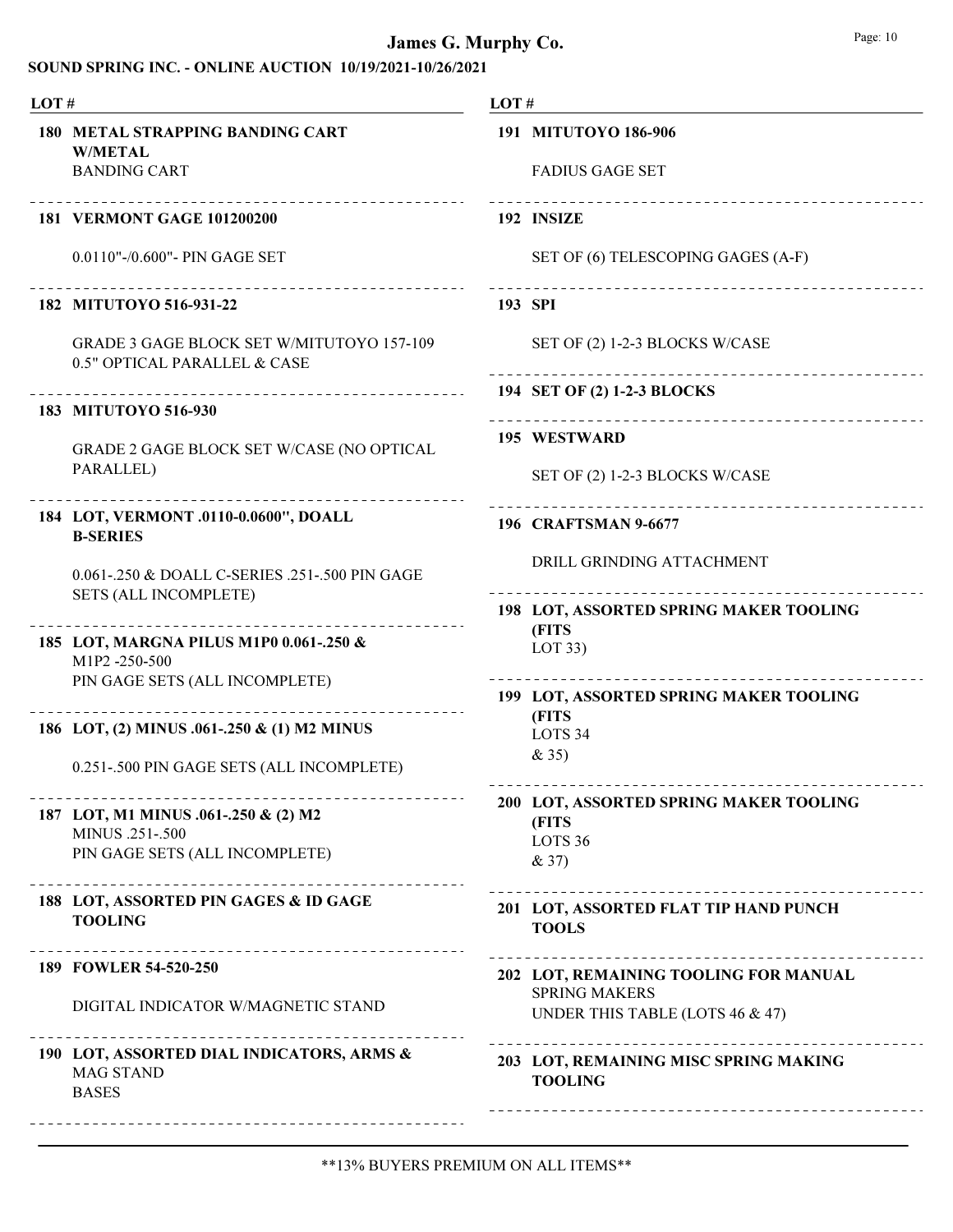| LOT# |                                                                                  | LOT# |                                                         |  |
|------|----------------------------------------------------------------------------------|------|---------------------------------------------------------|--|
|      | <b>180 METAL STRAPPING BANDING CART</b><br><b>W/METAL</b><br><b>BANDING CART</b> |      | 191 MITUTOYO 186-906<br><b>FADIUS GAGE SET</b>          |  |
|      | 181 VERMONT GAGE 101200200                                                       |      | 192 INSIZE                                              |  |
|      | $0.0110$ "- $/0.600$ "- PIN GAGE SET                                             |      | SET OF (6) TELESCOPING GAGES (A-F)                      |  |
|      | 182 MITUTOYO 516-931-22                                                          |      | 193 SPI                                                 |  |
|      | <b>GRADE 3 GAGE BLOCK SET W/MITUTOYO 157-109</b><br>0.5" OPTICAL PARALLEL & CASE |      | SET OF (2) 1-2-3 BLOCKS W/CASE                          |  |
|      | _________________________________<br>183 MITUTOYO 516-930                        |      | 194 SET OF (2) 1-2-3 BLOCKS                             |  |
|      | GRADE 2 GAGE BLOCK SET W/CASE (NO OPTICAL                                        |      | 195 WESTWARD                                            |  |
|      | PARALLEL)                                                                        |      | SET OF (2) 1-2-3 BLOCKS W/CASE                          |  |
|      | 184 LOT, VERMONT .0110-0.0600", DOALL<br><b>B-SERIES</b>                         |      | ___________________________<br>196 CRAFTSMAN 9-6677     |  |
|      | 0.061-.250 & DOALL C-SERIES .251-.500 PIN GAGE                                   |      | DRILL GRINDING ATTACHMENT                               |  |
|      | <b>SETS (ALL INCOMPLETE)</b><br>________________________                         |      | 198 LOT, ASSORTED SPRING MAKER TOOLING                  |  |
|      | 185 LOT, MARGNA PILUS M1P0 0.061-.250 &<br>M1P2-250-500                          |      | (FITS<br>LOT 33)                                        |  |
|      | PIN GAGE SETS (ALL INCOMPLETE)                                                   |      | 199 LOT, ASSORTED SPRING MAKER TOOLING                  |  |
|      | 186 LOT, (2) MINUS .061-.250 & (1) M2 MINUS                                      |      | (FITS<br>LOTS <sub>34</sub>                             |  |
|      | 0.251-.500 PIN GAGE SETS (ALL INCOMPLETE)                                        |      | & 35)                                                   |  |
|      | 187 LOT, M1 MINUS .061-.250 & (2) M2                                             |      | 200 LOT, ASSORTED SPRING MAKER TOOLING<br>(FITS         |  |
|      | MINUS .251-.500<br>PIN GAGE SETS (ALL INCOMPLETE)                                |      | LOTS <sub>36</sub><br>& 37)                             |  |
|      | 188 LOT, ASSORTED PIN GAGES & ID GAGE<br><b>TOOLING</b>                          |      | 201 LOT, ASSORTED FLAT TIP HAND PUNCH<br><b>TOOLS</b>   |  |
|      | _________________________<br>189 FOWLER 54-520-250                               |      | 202 LOT, REMAINING TOOLING FOR MANUAL                   |  |
|      | DIGITAL INDICATOR W/MAGNETIC STAND                                               |      | <b>SPRING MAKERS</b><br>UNDER THIS TABLE (LOTS 46 & 47) |  |
|      | 190 LOT, ASSORTED DIAL INDICATORS, ARMS &<br><b>MAG STAND</b><br><b>BASES</b>    |      | 203 LOT, REMAINING MISC SPRING MAKING<br><b>TOOLING</b> |  |
|      |                                                                                  |      |                                                         |  |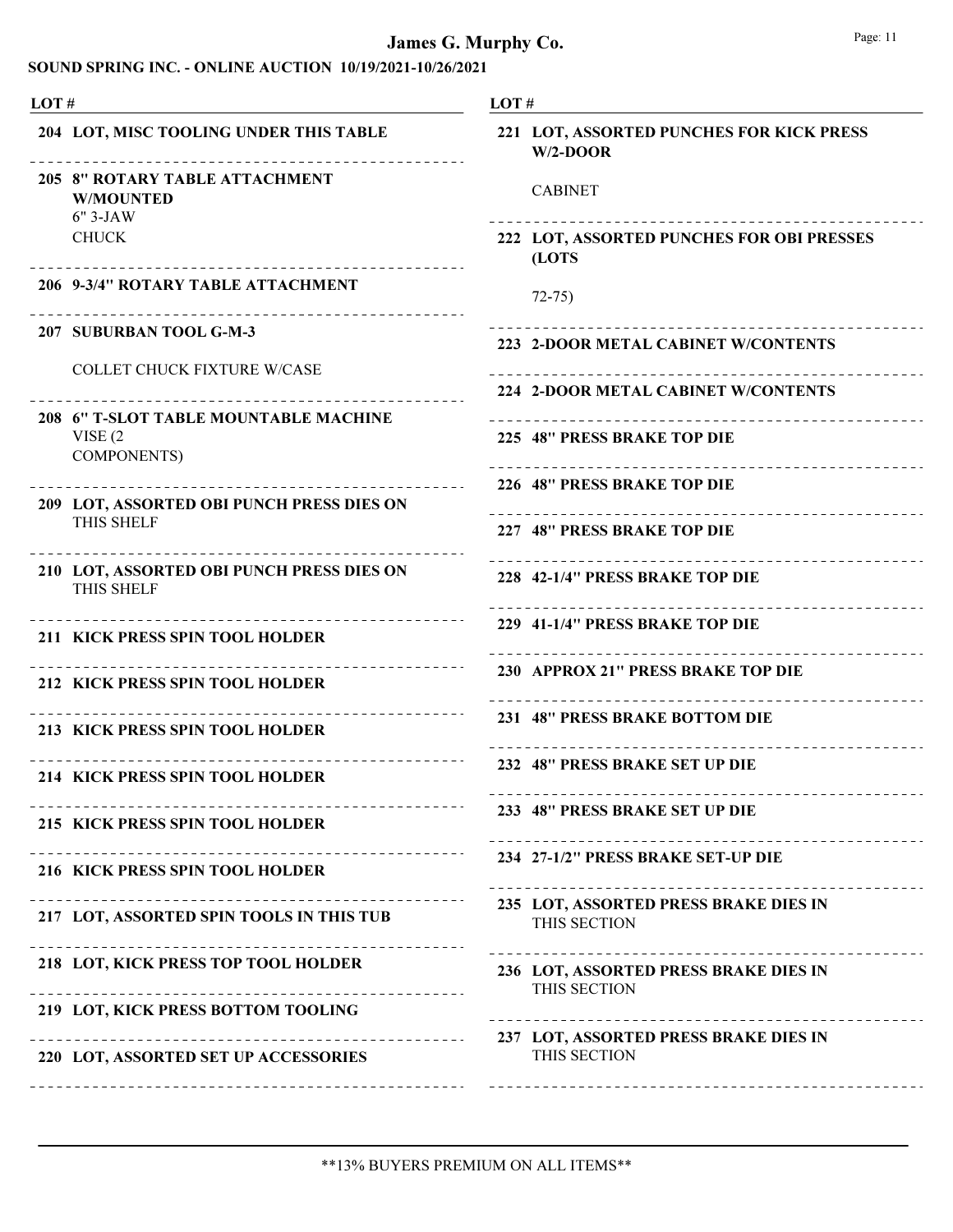#### SOUND SPRING INC. - ONLINE AUCTION 10/19/2021-10/26/2021

| LOT# |                                                                          | LOT#                                                    |  |  |
|------|--------------------------------------------------------------------------|---------------------------------------------------------|--|--|
|      | 204 LOT, MISC TOOLING UNDER THIS TABLE                                   | 221 LOT, ASSORTED PUNCHES FOR KICK PRESS<br>$W/2$ -DOOR |  |  |
|      | 205 8" ROTARY TABLE ATTACHMENT<br><b>W/MOUNTED</b><br>6" 3-JAW           | <b>CABINET</b>                                          |  |  |
|      | <b>CHUCK</b>                                                             | 222 LOT, ASSORTED PUNCHES FOR OBI PRESSES<br>(LOTS      |  |  |
|      | 206 9-3/4" ROTARY TABLE ATTACHMENT                                       | $72 - 75$                                               |  |  |
|      | 207 SUBURBAN TOOL G-M-3                                                  | 223 2-DOOR METAL CABINET W/CONTENTS                     |  |  |
|      | <b>COLLET CHUCK FIXTURE W/CASE</b>                                       | 224 2-DOOR METAL CABINET W/CONTENTS                     |  |  |
|      | 208 6" T-SLOT TABLE MOUNTABLE MACHINE                                    |                                                         |  |  |
|      | VISE $(2)$<br><b>COMPONENTS)</b>                                         | 225 48" PRESS BRAKE TOP DIE                             |  |  |
|      | 209 LOT, ASSORTED OBI PUNCH PRESS DIES ON                                | 226 48" PRESS BRAKE TOP DIE                             |  |  |
|      | THIS SHELF                                                               | 227 48" PRESS BRAKE TOP DIE                             |  |  |
|      | 210 LOT, ASSORTED OBI PUNCH PRESS DIES ON<br>THIS SHELF                  | 228 42-1/4" PRESS BRAKE TOP DIE                         |  |  |
|      | -------------------------------------<br>211 KICK PRESS SPIN TOOL HOLDER | 229 41-1/4" PRESS BRAKE TOP DIE                         |  |  |
|      | 212 KICK PRESS SPIN TOOL HOLDER                                          | 230 APPROX 21" PRESS BRAKE TOP DIE                      |  |  |
|      | 213 KICK PRESS SPIN TOOL HOLDER                                          | 231 48" PRESS BRAKE BOTTOM DIE                          |  |  |
|      | 214 KICK PRESS SPIN TOOL HOLDER                                          | 232 48" PRESS BRAKE SET UP DIE                          |  |  |
|      | 215 KICK PRESS SPIN TOOL HOLDER                                          | 233 48" PRESS BRAKE SET UP DIE                          |  |  |
|      | 216 KICK PRESS SPIN TOOL HOLDER                                          | 234 27-1/2" PRESS BRAKE SET-UP DIE                      |  |  |
|      | 217 LOT, ASSORTED SPIN TOOLS IN THIS TUB                                 | 235 LOT, ASSORTED PRESS BRAKE DIES IN<br>THIS SECTION   |  |  |
|      | 218 LOT, KICK PRESS TOP TOOL HOLDER                                      | 236 LOT, ASSORTED PRESS BRAKE DIES IN<br>THIS SECTION   |  |  |
|      | 219 LOT, KICK PRESS BOTTOM TOOLING                                       |                                                         |  |  |
|      | ---------------------------<br>220 LOT, ASSORTED SET UP ACCESSORIES      | 237 LOT, ASSORTED PRESS BRAKE DIES IN<br>THIS SECTION   |  |  |
|      |                                                                          |                                                         |  |  |

L.

 $\equiv$   $\pm$ 

 $=$   $-$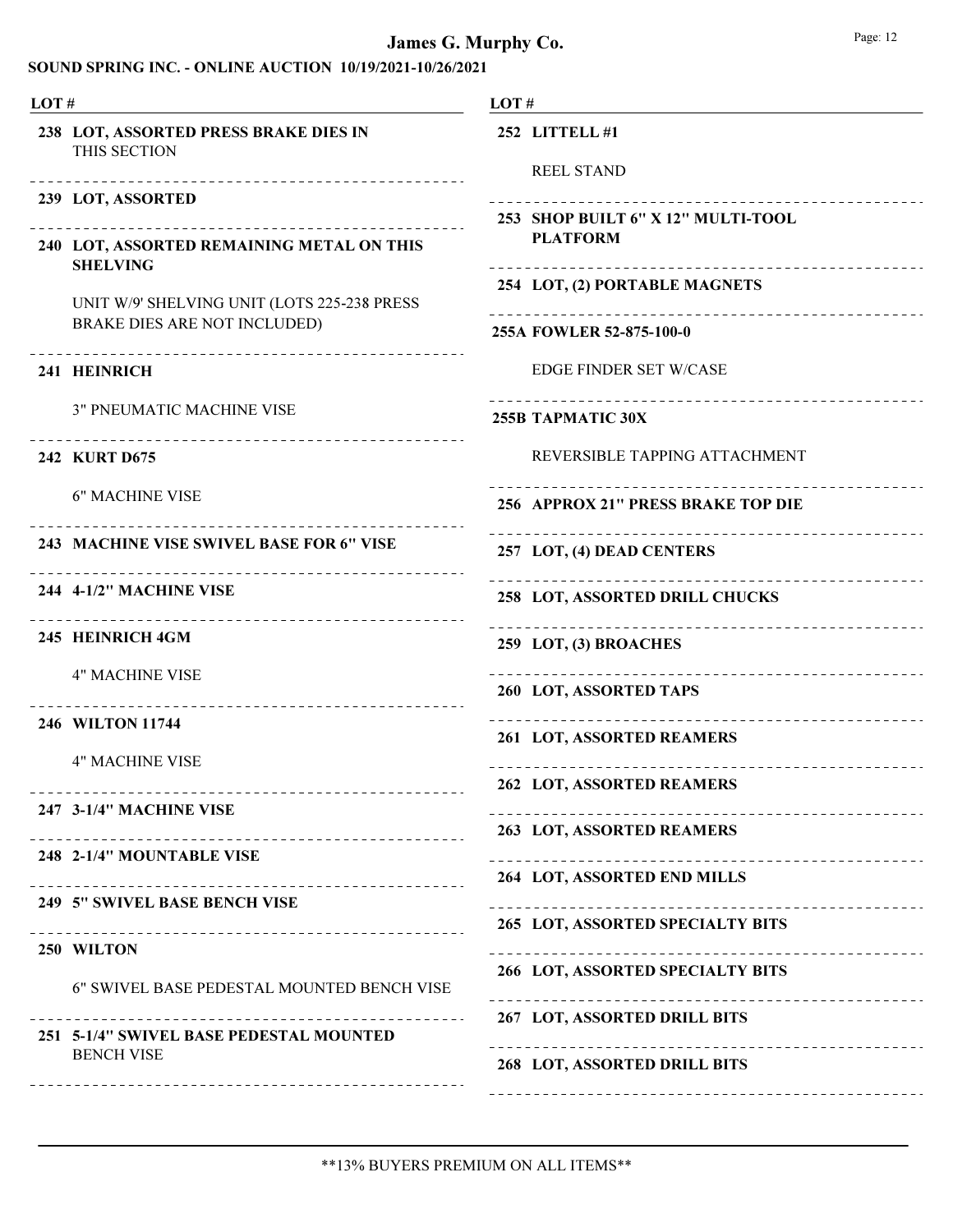| LOT# |                                                                                                   | LOT#                                                          |  |  |
|------|---------------------------------------------------------------------------------------------------|---------------------------------------------------------------|--|--|
|      | 238 LOT, ASSORTED PRESS BRAKE DIES IN<br>THIS SECTION                                             | 252 LITTELL #1<br><b>REEL STAND</b>                           |  |  |
|      | ----------------------------------<br>239 LOT, ASSORTED                                           | 253 SHOP BUILT 6" X 12" MULTI-TOOL                            |  |  |
|      | ---------------------------------<br>240 LOT, ASSORTED REMAINING METAL ON THIS<br><b>SHELVING</b> | <b>PLATFORM</b><br>.                                          |  |  |
|      | UNIT W/9' SHELVING UNIT (LOTS 225-238 PRESS                                                       | 254 LOT, (2) PORTABLE MAGNETS                                 |  |  |
|      | BRAKE DIES ARE NOT INCLUDED)<br>--------------------------------                                  | 255A FOWLER 52-875-100-0                                      |  |  |
|      | 241 HEINRICH                                                                                      | <b>EDGE FINDER SET W/CASE</b>                                 |  |  |
|      | <b>3" PNEUMATIC MACHINE VISE</b><br>-------------------------------------                         | <b>255B TAPMATIC 30X</b>                                      |  |  |
|      | <b>242 KURT D675</b>                                                                              | REVERSIBLE TAPPING ATTACHMENT                                 |  |  |
|      | <b>6" MACHINE VISE</b>                                                                            | 256 APPROX 21" PRESS BRAKE TOP DIE                            |  |  |
|      | 243 MACHINE VISE SWIVEL BASE FOR 6" VISE                                                          | 257 LOT, (4) DEAD CENTERS                                     |  |  |
|      | --------------------------<br>244 4-1/2" MACHINE VISE<br>--------------------------------         | 258 LOT, ASSORTED DRILL CHUCKS                                |  |  |
|      | 245 HEINRICH 4GM                                                                                  | 259 LOT, (3) BROACHES                                         |  |  |
|      | <b>4" MACHINE VISE</b><br>-------------------------------                                         | ___________________________________<br>260 LOT, ASSORTED TAPS |  |  |
|      | 246 WILTON 11744                                                                                  | 261 LOT, ASSORTED REAMERS                                     |  |  |
|      | <b>4" MACHINE VISE</b>                                                                            | -----------------------------<br>262 LOT, ASSORTED REAMERS    |  |  |
|      | 247 3-1/4" MACHINE VISE                                                                           | 263 LOT, ASSORTED REAMERS                                     |  |  |
|      | --------------------------------------<br>248 2-1/4" MOUNTABLE VISE                               |                                                               |  |  |
|      | 249 5" SWIVEL BASE BENCH VISE                                                                     | 264 LOT, ASSORTED END MILLS<br>_____________________________  |  |  |
|      | 250 WILTON                                                                                        | 265 LOT, ASSORTED SPECIALTY BITS                              |  |  |
|      | 6" SWIVEL BASE PEDESTAL MOUNTED BENCH VISE                                                        | 266 LOT, ASSORTED SPECIALTY BITS                              |  |  |
|      | 251 5-1/4" SWIVEL BASE PEDESTAL MOUNTED<br><b>BENCH VISE</b>                                      | 267 LOT, ASSORTED DRILL BITS                                  |  |  |
|      |                                                                                                   | 268 LOT, ASSORTED DRILL BITS                                  |  |  |
|      |                                                                                                   |                                                               |  |  |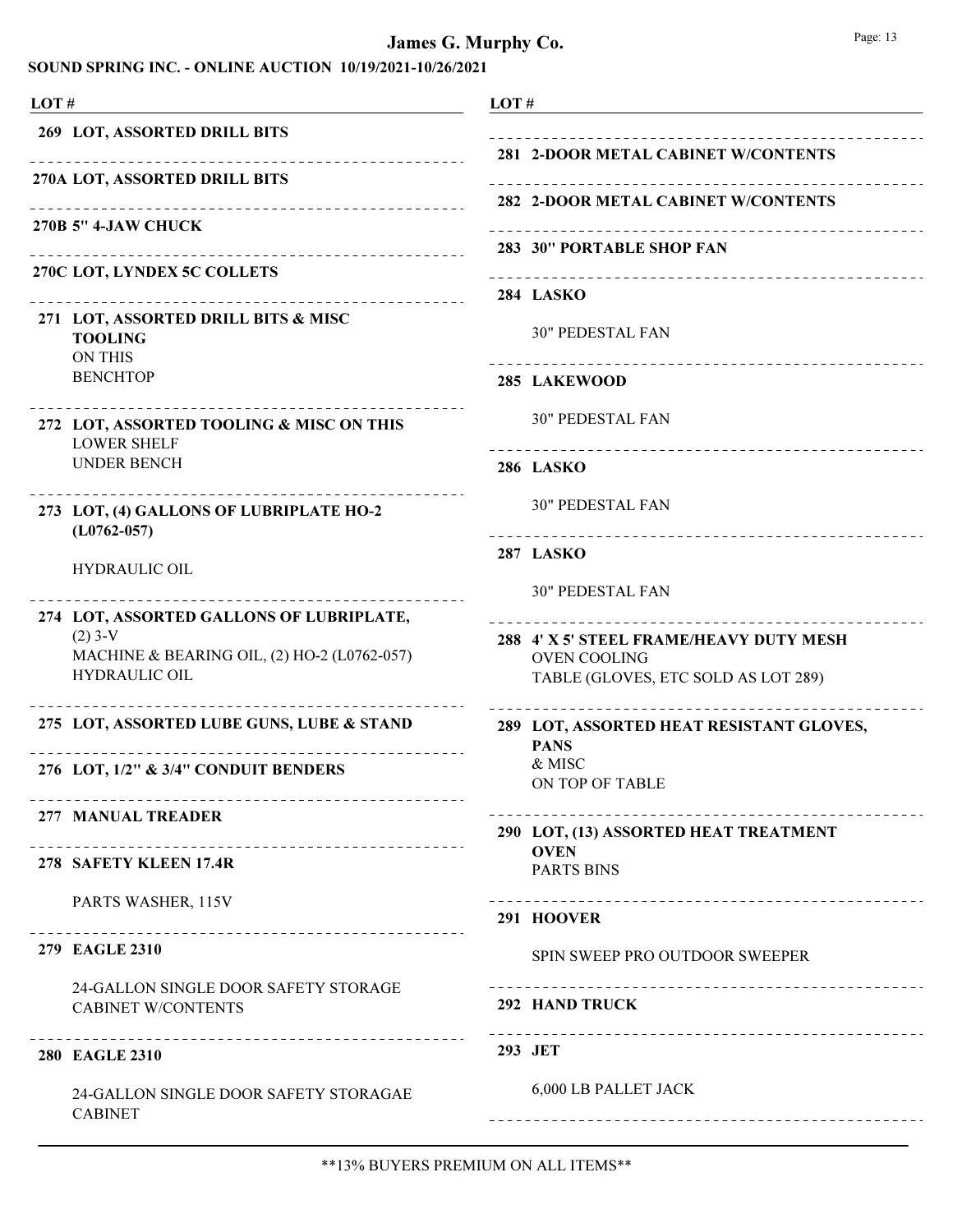#### SOUND SPRING INC. - ONLINE AUCTION 10/19/2021-10/26/2021

LOT # LOT # 269 LOT, ASSORTED DRILL BITS Ne 270A LOT, ASSORTED DRILL BITS Ne 270B 5" 4-JAW CHUCK Ne 270C LOT, LYNDEX 5C COLLETS LOT, ASSORTED DRILL BITS & MISC 271 TOOLING ON THIS **BENCHTOP** 272 LOT, ASSORTED TOOLING & MISC ON THIS LOWER SHELF UNDER BENCH \_\_\_\_\_\_\_\_\_\_\_\_\_\_\_\_\_\_\_ LOT, (4) GALLONS OF LUBRIPLATE HO-2 273 (L0762-057) HYDRAULIC OIL 274 LOT, ASSORTED GALLONS OF LUBRIPLATE,  $(2)$  3-V MACHINE & BEARING OIL, (2) HO-2 (L0762-057) HYDRAULIC OIL 275 LOT, ASSORTED LUBE GUNS, LUBE & STAND 276 LOT, 1/2" & 3/4" CONDUIT BENDERS Ne 277 MANUAL TREADER Ne 278 SAFETY KLEEN 17.4R PARTS WASHER, 115V 279 EAGLE 2310 24-GALLON SINGLE DOOR SAFETY STORAGE CABINET W/CONTENTS 293 JET 280 EAGLE 2310 24-GALLON SINGLE DOOR SAFETY STORAGAE CABINET

# 281 2-DOOR METAL CABINET W/CONTENTS Ne 282 2-DOOR METAL CABINET W/CONTENTS 283 30" PORTABLE SHOP FAN Ne 284 LASKO 30" PEDESTAL FAN 285 LAKEWOOD 30" PEDESTAL FAN 286 LASKO 30" PEDESTAL FAN 287 LASKO 30" PEDESTAL FAN 288 4' X 5' STEEL FRAME/HEAVY DUTY MESH OVEN COOLING TABLE (GLOVES, ETC SOLD AS LOT 289) LOT, ASSORTED HEAT RESISTANT GLOVES, 289 PANS & MISC ON TOP OF TABLE LOT, (13) ASSORTED HEAT TREATMENT 290 **OVEN** PARTS BINS 291 HOOVER SPIN SWEEP PRO OUTDOOR SWEEPER 292 HAND TRUCK Ne 6,000 LB PALLET JACK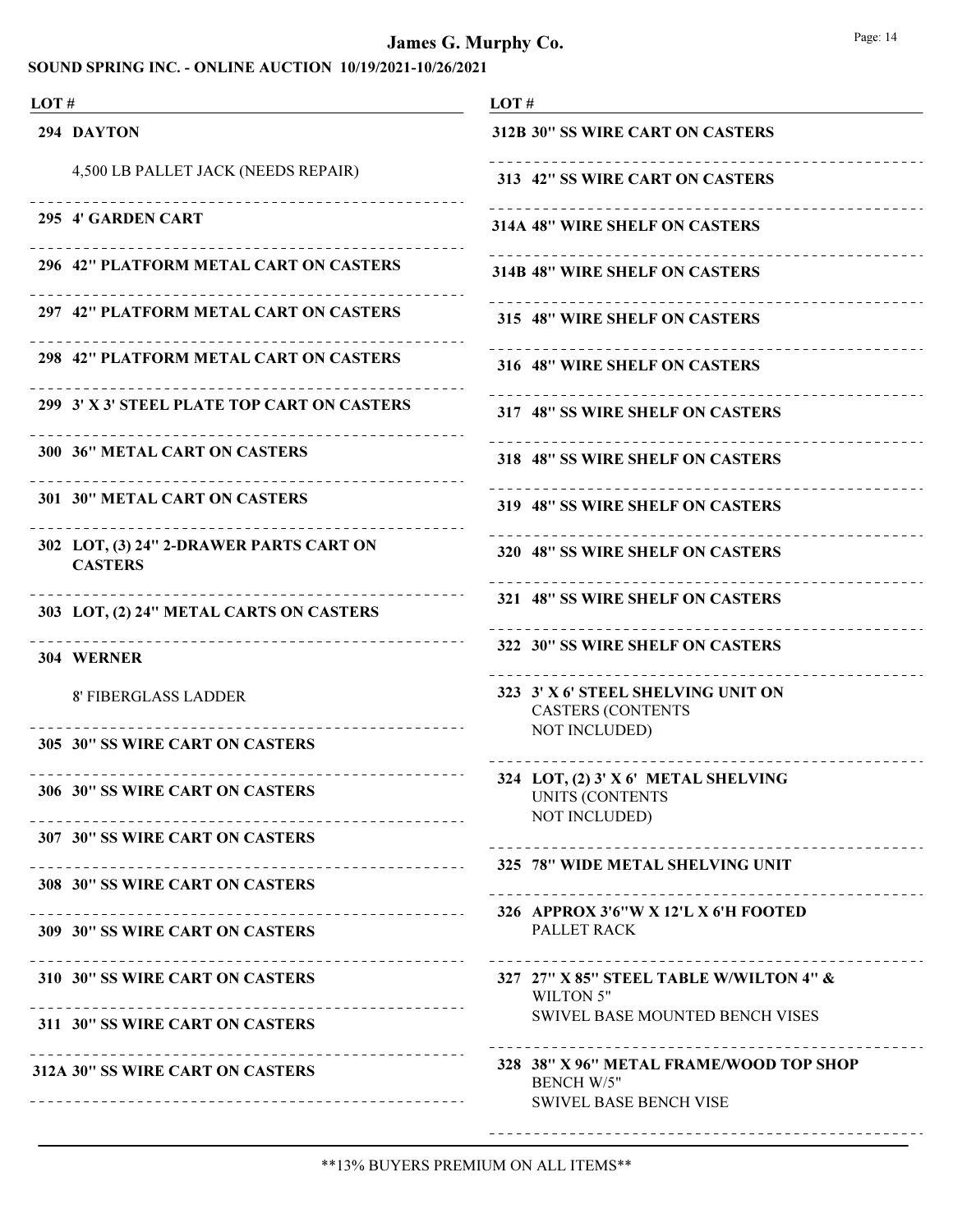| LOT#                                                      | LOT#                                                                                          |
|-----------------------------------------------------------|-----------------------------------------------------------------------------------------------|
| 294 DAYTON                                                | 312B 30" SS WIRE CART ON CASTERS                                                              |
| 4,500 LB PALLET JACK (NEEDS REPAIR)                       | 313 42" SS WIRE CART ON CASTERS                                                               |
| 295 4' GARDEN CART                                        | 314A 48" WIRE SHELF ON CASTERS                                                                |
| 296 42" PLATFORM METAL CART ON CASTERS                    | 314B 48" WIRE SHELF ON CASTERS                                                                |
| 297 42" PLATFORM METAL CART ON CASTERS                    | 315 48" WIRE SHELF ON CASTERS                                                                 |
| 298 42" PLATFORM METAL CART ON CASTERS                    | 316 48" WIRE SHELF ON CASTERS                                                                 |
| 299 3' X 3' STEEL PLATE TOP CART ON CASTERS               | 317 48" SS WIRE SHELF ON CASTERS                                                              |
| <b>300 36" METAL CART ON CASTERS</b>                      | 318 48" SS WIRE SHELF ON CASTERS                                                              |
| <b>301 30" METAL CART ON CASTERS</b>                      | 319 48" SS WIRE SHELF ON CASTERS                                                              |
| 302 LOT, (3) 24" 2-DRAWER PARTS CART ON<br><b>CASTERS</b> | 320 48" SS WIRE SHELF ON CASTERS                                                              |
| 303 LOT, (2) 24" METAL CARTS ON CASTERS                   | 321 48" SS WIRE SHELF ON CASTERS                                                              |
| 304 WERNER                                                | 322 30" SS WIRE SHELF ON CASTERS                                                              |
| <b>8' FIBERGLASS LADDER</b>                               | 323 3' X 6' STEEL SHELVING UNIT ON<br><b>CASTERS (CONTENTS</b>                                |
| 305 30" SS WIRE CART ON CASTERS                           | <b>NOT INCLUDED)</b>                                                                          |
| 306 30" SS WIRE CART ON CASTERS                           | 324 LOT, (2) 3' X 6' METAL SHELVING<br><b>UNITS (CONTENTS</b><br><b>NOT INCLUDED)</b>         |
| 307 30" SS WIRE CART ON CASTERS                           |                                                                                               |
| 308 30" SS WIRE CART ON CASTERS                           |                                                                                               |
| 309 30" SS WIRE CART ON CASTERS                           | PALLET RACK                                                                                   |
| 310 30" SS WIRE CART ON CASTERS                           | 327 27" X 85" STEEL TABLE W/WILTON 4" &<br>WILTON 5"                                          |
| 311 30" SS WIRE CART ON CASTERS                           | SWIVEL BASE MOUNTED BENCH VISES                                                               |
| 312A 30" SS WIRE CART ON CASTERS                          | 328 38" X 96" METAL FRAME/WOOD TOP SHOP<br><b>BENCH W/5"</b><br><b>SWIVEL BASE BENCH VISE</b> |
|                                                           |                                                                                               |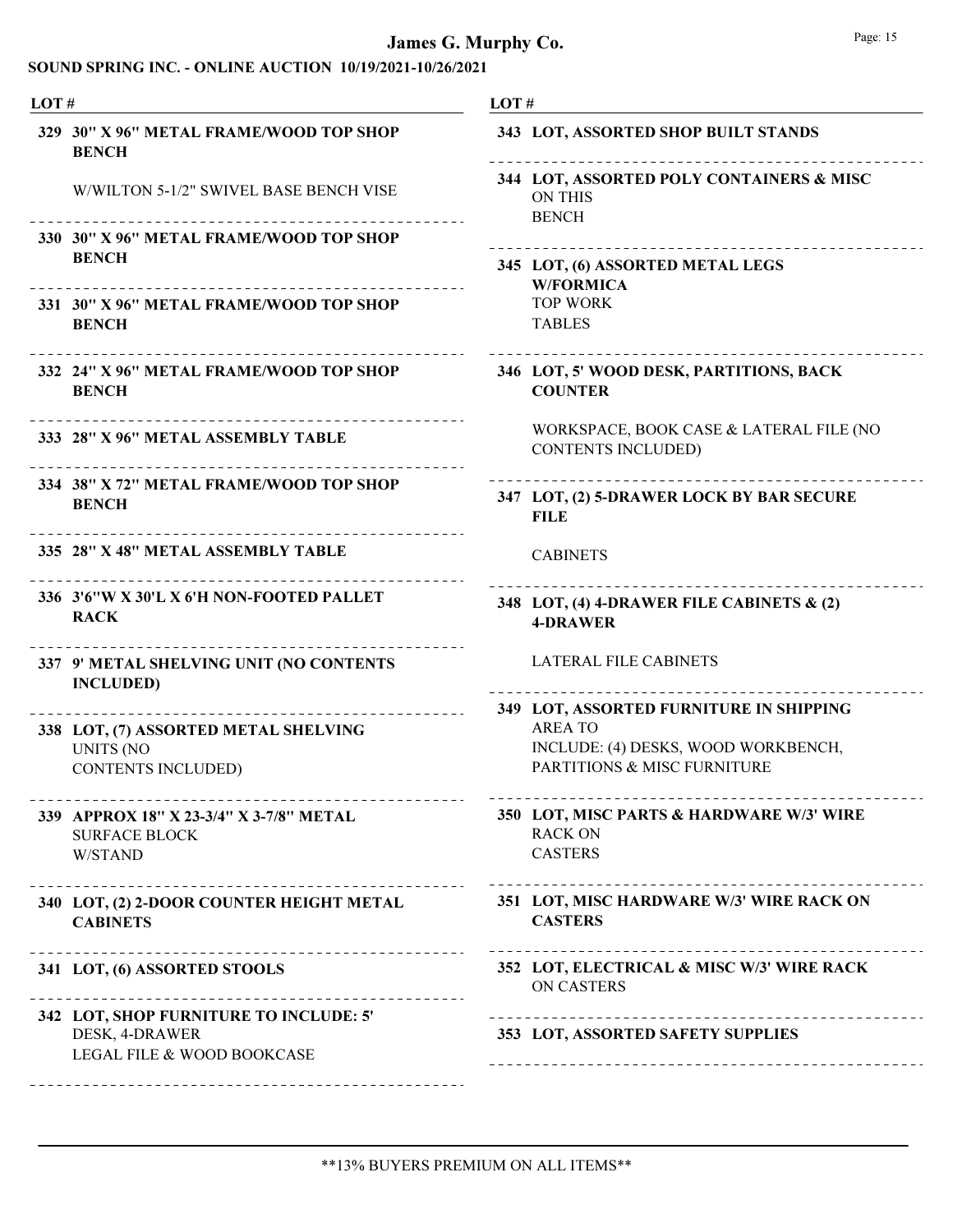| LOT#                                                                       |  | LOT#                                                                         |  |  |
|----------------------------------------------------------------------------|--|------------------------------------------------------------------------------|--|--|
| 329 30" X 96" METAL FRAME/WOOD TOP SHOP<br><b>BENCH</b>                    |  | 343 LOT, ASSORTED SHOP BUILT STANDS                                          |  |  |
| W/WILTON 5-1/2" SWIVEL BASE BENCH VISE                                     |  | 344 LOT, ASSORTED POLY CONTAINERS & MISC<br><b>ON THIS</b><br><b>BENCH</b>   |  |  |
| 330 30" X 96" METAL FRAME/WOOD TOP SHOP<br><b>BENCH</b>                    |  | 345 LOT, (6) ASSORTED METAL LEGS                                             |  |  |
| 331 30" X 96" METAL FRAME/WOOD TOP SHOP<br><b>BENCH</b>                    |  | <b>W/FORMICA</b><br><b>TOP WORK</b><br><b>TABLES</b>                         |  |  |
| 332 24" X 96" METAL FRAME/WOOD TOP SHOP<br><b>BENCH</b>                    |  | 346 LOT, 5' WOOD DESK, PARTITIONS, BACK<br><b>COUNTER</b>                    |  |  |
| 333 28" X 96" METAL ASSEMBLY TABLE                                         |  | WORKSPACE, BOOK CASE & LATERAL FILE (NO<br><b>CONTENTS INCLUDED)</b>         |  |  |
| 334 38" X 72" METAL FRAME/WOOD TOP SHOP<br><b>BENCH</b>                    |  | 347 LOT, (2) 5-DRAWER LOCK BY BAR SECURE<br><b>FILE</b>                      |  |  |
| 335 28" X 48" METAL ASSEMBLY TABLE                                         |  | <b>CABINETS</b>                                                              |  |  |
| 336 3'6"W X 30'L X 6'H NON-FOOTED PALLET<br><b>RACK</b>                    |  | 348 LOT, (4) 4-DRAWER FILE CABINETS & (2)<br><b>4-DRAWER</b>                 |  |  |
| 337 9' METAL SHELVING UNIT (NO CONTENTS<br><b>INCLUDED)</b>                |  | <b>LATERAL FILE CABINETS</b>                                                 |  |  |
| __________________                                                         |  | 349 LOT, ASSORTED FURNITURE IN SHIPPING                                      |  |  |
| 338 LOT, (7) ASSORTED METAL SHELVING                                       |  | <b>AREA TO</b><br>INCLUDE: (4) DESKS, WOOD WORKBENCH,                        |  |  |
| <b>UNITS (NO</b><br><b>CONTENTS INCLUDED)</b>                              |  | <b>PARTITIONS &amp; MISC FURNITURE</b>                                       |  |  |
| 339 APPROX 18" X 23-3/4" X 3-7/8" METAL<br><b>SURFACE BLOCK</b><br>W/STAND |  | 350 LOT, MISC PARTS & HARDWARE W/3' WIRE<br><b>RACK ON</b><br><b>CASTERS</b> |  |  |
| 340 LOT, (2) 2-DOOR COUNTER HEIGHT METAL<br><b>CABINETS</b>                |  | 351 LOT, MISC HARDWARE W/3' WIRE RACK ON<br><b>CASTERS</b>                   |  |  |
| 341 LOT, (6) ASSORTED STOOLS                                               |  | 352 LOT, ELECTRICAL & MISC W/3' WIRE RACK<br>ON CASTERS                      |  |  |
| 342 LOT, SHOP FURNITURE TO INCLUDE: 5'                                     |  |                                                                              |  |  |
| DESK, 4-DRAWER<br>LEGAL FILE & WOOD BOOKCASE                               |  | 353 LOT, ASSORTED SAFETY SUPPLIES                                            |  |  |
| ---------------------------------                                          |  |                                                                              |  |  |